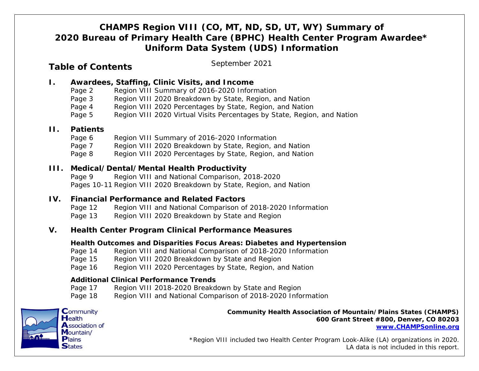# *CHAMPS Region VIII (CO, MT, ND, SD, UT, WY) Summary of 2020 Bureau of Primary Health Care (BPHC) Health Center Program Awardee\* Uniform Data System (UDS) Information*

## **Table of Contents**

*September 2021*

## **I. Awardees, Staffing, Clinic Visits, and Income**

- Page 2 Region VIII Summary of 2016-2020 Information
- Page 3 Region VIII 2020 Breakdown by State, Region, and Nation
- Page 4 Region VIII 2020 Percentages by State, Region, and Nation
- Page 5 Region VIII 2020 Virtual Visits Percentages by State, Region, and Nation

### **II. Patients**

- Page 6 Region VIII Summary of 2016-2020 Information
- Page 7 Region VIII 2020 Breakdown by State, Region, and Nation
- Page 8 Region VIII 2020 Percentages by State, Region, and Nation

### **III. Medical/Dental/Mental Health Productivity**

- Page 9 Region VIII and National Comparison, 2018-2020
- Pages 10-11 Region VIII 2020 Breakdown by State, Region, and Nation

### **IV. Financial Performance and Related Factors**

- Page 12 Region VIII and National Comparison of 2018-2020 Information
- Page 13 Region VIII 2020 Breakdown by State and Region

### **V. Health Center Program Clinical Performance Measures**

#### **Health Outcomes and Disparities Focus Areas: Diabetes and Hypertension**

- Page 14 Region VIII and National Comparison of 2018-2020 Information
- Page 15 Region VIII 2020 Breakdown by State and Region
- Page 16 Region VIII 2020 Percentages by State, Region, and Nation

#### **Additional Clinical Performance Trends**

- Page 17 Region VIII 2018-2020 Breakdown by State and Region
- Page 18 Region VIII and National Comparison of 2018-2020 Information



*Community Health Association of Mountain/Plains States (CHAMPS) 600 Grant Street #800, Denver, CO 80203 [www.CHAMPSonline.org](http://www.champsonline.org/)*

*\*Region VIII included two Health Center Program Look-Alike (LA) organizations in 2020. LA data is not included in this report.*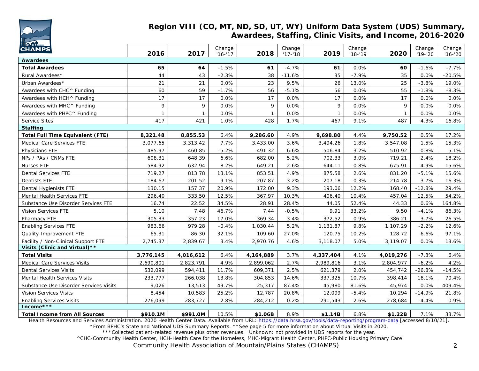

#### **Region VIII (CO, MT, ND, SD, UT, WY) Uniform Data System (UDS) Summary, Awardees, Staffing, Clinic Visits, and Income, 2016-2020**

| <b>With the Young</b><br><b>CHAMPS</b>  | 2016         | 2017         | Change<br>$'16 - 17$ | 2018         | Change<br>$'17 - 18$ | 2019         | Change<br>$'18 - 19$ | 2020         | Change<br>$'19 - '20$ | Change<br>$'16 - '20$ |
|-----------------------------------------|--------------|--------------|----------------------|--------------|----------------------|--------------|----------------------|--------------|-----------------------|-----------------------|
| <b>Awardees</b>                         |              |              |                      |              |                      |              |                      |              |                       |                       |
| <b>Total Awardees</b>                   | 65           | 64           | $-1.5%$              | 61           | $-4.7%$              | 61           | 0.0%                 | 60           | $-1.6%$               | -7.7%                 |
| Rural Awardees*                         | 44           | 43           | $-2.3%$              | 38           | $-11.6%$             | 35           | $-7.9%$              | 35           | 0.0%                  | $-20.5%$              |
| Urban Awardees*                         | 21           | 21           | 0.0%                 | 23           | 9.5%                 | 26           | 13.0%                | 25           | $-3.8%$               | 19.0%                 |
| Awardees with CHC^ Funding              | 60           | 59           | $-1.7%$              | 56           | $-5.1%$              | 56           | 0.0%                 | 55           | $-1.8%$               | $-8.3%$               |
| Awardees with HCH^ Funding              | 17           | 17           | 0.0%                 | 17           | 0.0%                 | 17           | 0.0%                 | 17           | 0.0%                  | 0.0%                  |
| Awardees with MHC ^ Funding             | 9            | 9            | 0.0%                 | 9            | 0.0%                 | 9            | 0.0%                 | 9            | 0.0%                  | 0.0%                  |
| Awardees with PHPC^ Funding             | $\mathbf{1}$ | $\mathbf{1}$ | 0.0%                 | $\mathbf{1}$ | 0.0%                 | $\mathbf{1}$ | 0.0%                 | $\mathbf{1}$ | 0.0%                  | $0.0\%$               |
| <b>Service Sites</b>                    | 417          | 421          | 1.0%                 | 428          | 1.7%                 | 467          | 9.1%                 | 487          | 4.3%                  | 16.8%                 |
| <b>Staffing</b>                         |              |              |                      |              |                      |              |                      |              |                       |                       |
| <b>Total Full Time Equivalent (FTE)</b> | 8,321.48     | 8,855.53     | 6.4%                 | 9,286.60     | 4.9%                 | 9,698.80     | 4.4%                 | 9,750.52     | 0.5%                  | 17.2%                 |
| Medical Care Services FTE               | 3,077.65     | 3,313.42     | 7.7%                 | 3,433.00     | 3.6%                 | 3,494.26     | 1.8%                 | 3,547.08     | 1.5%                  | 15.3%                 |
| Physicians FTE                          | 485.97       | 460.85       | $-5.2%$              | 491.32       | 6.6%                 | 506.84       | 3.2%                 | 510.92       | 0.8%                  | 5.1%                  |
| NPs / PAs / CNMs FTE                    | 608.31       | 648.39       | 6.6%                 | 682.00       | 5.2%                 | 702.33       | 3.0%                 | 719.21       | 2.4%                  | 18.2%                 |
| <b>Nurses FTE</b>                       | 584.92       | 632.94       | 8.2%                 | 649.21       | 2.6%                 | 644.11       | $-0.8%$              | 675.91       | 4.9%                  | 15.6%                 |
| <b>Dental Services FTE</b>              | 719.27       | 813.78       | 13.1%                | 853.51       | 4.9%                 | 875.58       | 2.6%                 | 831.20       | $-5.1%$               | 15.6%                 |
| Dentists FTE                            | 184.67       | 201.52       | 9.1%                 | 207.87       | 3.2%                 | 207.18       | $-0.3%$              | 214.78       | 3.7%                  | 16.3%                 |
| Dental Hygienists FTE                   | 130.15       | 157.37       | 20.9%                | 172.00       | 9.3%                 | 193.06       | 12.2%                | 168.40       | $-12.8%$              | 29.4%                 |
| Mental Health Services FTE              | 296.40       | 333.50       | 12.5%                | 367.97       | 10.3%                | 406.40       | 10.4%                | 457.04       | 12.5%                 | 54.2%                 |
| Substance Use Disorder Services FTE     | 16.74        | 22.52        | 34.5%                | 28.91        | 28.4%                | 44.05        | 52.4%                | 44.33        | 0.6%                  | 164.8%                |
| Vision Services FTE                     | 5.10         | 7.48         | 46.7%                | 7.44         | $-0.5%$              | 9.91         | 33.2%                | 9.50         | $-4.1%$               | 86.3%                 |
| Pharmacy FTE                            | 305.33       | 357.23       | 17.0%                | 369.34       | 3.4%                 | 372.52       | 0.9%                 | 386.21       | 3.7%                  | 26.5%                 |
| <b>Enabling Services FTE</b>            | 983.66       | 979.28       | $-0.4%$              | 1,030.44     | 5.2%                 | 1,131.87     | 9.8%                 | 1,107.29     | $-2.2%$               | 12.6%                 |
| Quality Improvement FTE                 | 65.31        | 86.30        | 32.1%                | 109.60       | 27.0%                | 120.75       | 10.2%                | 128.72       | 6.6%                  | 97.1%                 |
| Facility / Non-Clinical Support FTE     | 2,745.37     | 2,839.67     | 3.4%                 | 2,970.76     | 4.6%                 | 3,118.07     | 5.0%                 | 3,119.07     | 0.0%                  | 13.6%                 |
| Visits (Clinic and Virtual) **          |              |              |                      |              |                      |              |                      |              |                       |                       |
| <b>Total Visits</b>                     | 3,776,145    | 4,016,612    | 6.4%                 | 4,164,889    | 3.7%                 | 4,337,404    | 4.1%                 | 4,019,276    | $-7.3%$               | 6.4%                  |
| Medical Care Services Visits            | 2,690,801    | 2,823,791    | 4.9%                 | 2,899,062    | 2.7%                 | 2,989,816    | 3.1%                 | 2,804,977    | $-6.2%$               | 4.2%                  |
| <b>Dental Services Visits</b>           | 532,099      | 594,411      | 11.7%                | 609,371      | 2.5%                 | 621,379      | 2.0%                 | 454,742      | $-26.8%$              | $-14.5%$              |
| Mental Health Services Visits           | 233,777      | 266,038      | 13.8%                | 304,853      | 14.6%                | 337,325      | 10.7%                | 398,414      | 18.1%                 | 70.4%                 |
| Substance Use Disorder Services Visits  | 9,026        | 13,513       | 49.7%                | 25,317       | 87.4%                | 45,980       | 81.6%                | 45,974       | 0.0%                  | 409.4%                |
| <b>Vision Services Visits</b>           | 8,454        | 10,583       | 25.2%                | 12,787       | 20.8%                | 12,099       | $-5.4%$              | 10,294       | $-14.9%$              | 21.8%                 |
| <b>Enabling Services Visits</b>         | 276,099      | 283,727      | 2.8%                 | 284,212      | 0.2%                 | 291,543      | 2.6%                 | 278,684      | $-4.4%$               | 0.9%                  |
| Income***                               |              |              |                      |              |                      |              |                      |              |                       |                       |
| <b>Total Income from All Sources</b>    | \$910.1M     | \$991.0M     | 10.5%                | \$1.06B      | 8.9%                 | \$1.14B      | 6.8%                 | \$1.22B      | 7.1%                  | 33.7%                 |

Health Resources and Services Administration. 2020 Health Center Data. Available from URL: <https://data.hrsa.gov/tools/data-reporting/program-data> [accessed 8/10/21]. \*From BPHC's State and National UDS Summary Reports. \*\*See page 5 for more information about Virtual Visits in 2020.

\*\*\*Collected patient-related revenue plus other revenues. +Unknown: not provided in UDS reports for the year. ^CHC-Community Health Center, HCH-Health Care for the Homeless, MHC-Migrant Health Center, PHPC-Public Housing Primary Care

*Community Health Association of Mountain/Plains States (CHAMPS)* 2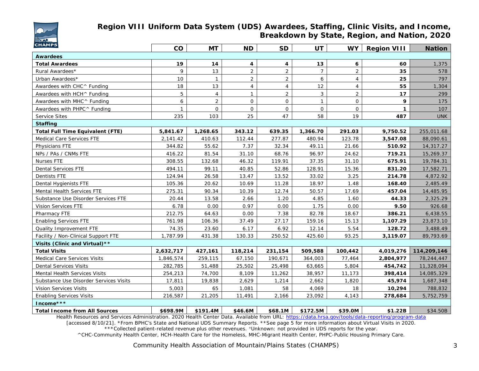

### **Region VIII Uniform Data System (UDS) Awardees, Staffing, Clinic Visits, and Income, Breakdown by State, Region, and Nation, 2020**

| <b>CHAMPS</b>                                                                                                                                                  | co           | MT             | <b>ND</b>      | <b>SD</b>      | UT             | <b>WY</b>                           | <b>Region VIII</b> | <b>Nation</b> |
|----------------------------------------------------------------------------------------------------------------------------------------------------------------|--------------|----------------|----------------|----------------|----------------|-------------------------------------|--------------------|---------------|
| <b>Awardees</b>                                                                                                                                                |              |                |                |                |                |                                     |                    |               |
| <b>Total Awardees</b>                                                                                                                                          | 19           | 14             | 4              | 4              | 13             | 6                                   | 60                 | 1,375         |
| Rural Awardees*                                                                                                                                                | 9            | 13             | $\overline{2}$ | $\overline{2}$ | $\overline{7}$ | $\overline{a}$                      | 35                 | 578           |
| Urban Awardees*                                                                                                                                                | 10           | $\mathbf{1}$   | $\overline{2}$ | $\overline{2}$ | 6              | $\overline{4}$                      | 25                 | 797           |
| Awardees with CHC ^ Funding                                                                                                                                    | 18           | 13             | $\overline{4}$ | $\overline{4}$ | 12             | $\overline{4}$                      | 55                 | 1,304         |
| Awardees with HCH^ Funding                                                                                                                                     | 5            | $\overline{4}$ | $\mathbf{1}$   | $\overline{2}$ | 3              | 2                                   | 17                 | 299           |
| Awardees with MHC^ Funding                                                                                                                                     | 6            | $\overline{2}$ | $\mathbf{O}$   | $\mathbf{O}$   | $\mathbf{1}$   | $\mathsf{O}$                        | 9                  | 175           |
| Awardees with PHPC^ Funding                                                                                                                                    | $\mathbf{1}$ | $\Omega$       | $\Omega$       | $\mathbf{O}$   | $\mathsf{O}$   | $\overline{O}$                      | $\mathbf{1}$       | 107           |
| <b>Service Sites</b>                                                                                                                                           | 235          | 103            | 25             | 47             | 58             | 19                                  | 487                | <b>UNK</b>    |
| <b>Staffing</b>                                                                                                                                                |              |                |                |                |                |                                     |                    |               |
| <b>Total Full Time Equivalent (FTE)</b>                                                                                                                        | 5,841.67     | 1,268.65       | 343.12         | 639.35         | 1,366.70       | 291.03                              | 9,750.52           | 255,011.68    |
| Medical Care Services FTE                                                                                                                                      | 2,141.42     | 410.63         | 112.44         | 277.87         | 480.94         | 123.78                              | 3,547.08           | 88,090.61     |
| Physicians FTE                                                                                                                                                 | 344.82       | 55.62          | 7.37           | 32.34          | 49.11          | 21.66                               | 510.92             | 14,317.27     |
| NPs / PAs / CNMs FTE                                                                                                                                           | 416.22       | 81.54          | 31.10          | 68.76          | 96.97          | 24.62                               | 719.21             | 15,269.37     |
| Nurses FTE                                                                                                                                                     | 308.55       | 132.68         | 46.32          | 119.91         | 37.35          | 31.10                               | 675.91             | 19,784.31     |
| <b>Dental Services FTE</b>                                                                                                                                     | 494.11       | 99.11          | 40.85          | 52.86          | 128.91         | 15.36                               | 831.20             | 17,582.71     |
| <b>Dentists FTE</b>                                                                                                                                            | 124.94       | 26.58          | 13.47          | 13.52          | 33.02          | 3.25                                | 214.78             | 4,872.92      |
| Dental Hygienists FTE                                                                                                                                          | 105.36       | 20.62          | 10.69          | 11.28          | 18.97          | 1.48                                | 168.40             | 2,485.49      |
| Mental Health Services FTE                                                                                                                                     | 275.31       | 90.34          | 10.39          | 12.74          | 50.57          | 17.69                               | 457.04             | 14,485.95     |
| Substance Use Disorder Services FTE                                                                                                                            | 20.44        | 13.58          | 2.66           | 1.20           | 4.85           | 1.60                                | 44.33              | 2,325.29      |
| Vision Services FTE                                                                                                                                            | 6.78         | 0.00           | 0.97           | 0.00           | 1.75           | 0.00                                | 9.50               | 926.68        |
| Pharmacy FTE                                                                                                                                                   | 212.75       | 64.63          | 0.00           | 7.38           | 82.78          | 18.67                               | 386.21             | 6,438.55      |
| <b>Enabling Services FTE</b>                                                                                                                                   | 761.98       | 106.36         | 37.49          | 27.17          | 159.16         | 15.13                               | 1,107.29           | 23,873.10     |
| Quality Improvement FTE                                                                                                                                        | 74.35        | 23.60          | 6.17           | 6.92           | 12.14          | 5.54                                | 128.72             | 3,488.49      |
| Facility / Non-Clinical Support FTE                                                                                                                            | 1,787.99     | 431.38         | 130.33         | 250.52         | 425.60         | 93.25                               | 3,119.07           | 89,793.69     |
| Visits (Clinic and Virtual) **                                                                                                                                 |              |                |                |                |                |                                     |                    |               |
| <b>Total Visits</b>                                                                                                                                            | 2,632,717    | 427,161        | 118,214        | 231,154        | 509,588        | 100,442                             | 4,019,276          | 114,209,146   |
| Medical Care Services Visits                                                                                                                                   | 1,846,574    | 259,115        | 67,150         | 190,671        | 364,003        | 77,464                              | 2,804,977          | 78,244,447    |
| <b>Dental Services Visits</b>                                                                                                                                  | 282,785      | 51,488         | 25,502         | 25,498         | 63,665         | 5,804                               | 454,742            | 11,328,094    |
| Mental Health Services Visits                                                                                                                                  | 254,213      | 74,700         | 8,109          | 11,262         | 38,957         | 11,173                              | 398,414            | 14,085,329    |
| Substance Use Disorder Services Visits                                                                                                                         | 17,811       | 19,838         | 2,629          | 1,214          | 2,662          | 1,820                               | 45,974             | 1,687,348     |
| Vision Services Visits                                                                                                                                         | 5,003        | 65             | 1,081          | 58             | 4,069          | 18                                  | 10,294             | 788,832       |
| <b>Enabling Services Visits</b>                                                                                                                                | 216,587      | 21,205         | 11,491         | 2,166          | 23,092         | 4,143                               | 278,684            | 5,752,759     |
| Income***                                                                                                                                                      |              |                |                |                |                |                                     |                    |               |
| <b>Total Income from All Sources</b><br><b>The HE Becomes and Complete Administration 0000 Health Quater Batel Accilebile Constitution Internal University</b> | \$698.9M     | \$191.4M       | \$46.6M        | \$68.1M        | \$172.5M       | \$39.0M<br>$1.44 - 1.1 - 1.1 - 1.1$ | \$1.22B            | \$34.50B      |

Health Resources and Services Administration. 2020 Health Center Data. Available from URL: <https://data.hrsa.gov/tools/data-reporting/program-data> [accessed 8/10/21]. \*From BPHC's State and National UDS Summary Reports. \*\*See page 5 for more information about Virtual Visits in 2020.

\*\*\*Collected patient-related revenue plus other revenues. +Unknown: not provided in UDS reports for the year.

^CHC-Community Health Center, HCH-Health Care for the Homeless, MHC-Migrant Health Center, PHPC-Public Housing Primary Care.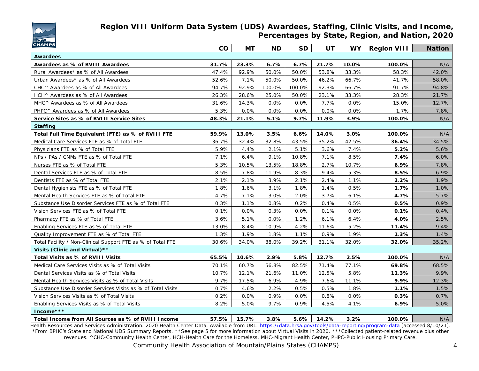

### **Region VIII Uniform Data System (UDS) Awardees, Staffing, Clinic Visits, and Income, Percentages by State, Region, and Nation, 2020**

| <b>CHAMPS</b>                                               |       | <b>MT</b> | <b>ND</b> | <b>SD</b> | <b>UT</b> | <b>WY</b> | <b>Region VIII</b> | <b>Nation</b> |
|-------------------------------------------------------------|-------|-----------|-----------|-----------|-----------|-----------|--------------------|---------------|
| <b>Awardees</b>                                             |       |           |           |           |           |           |                    |               |
| Awardees as % of RVIII Awardees                             | 31.7% | 23.3%     | 6.7%      | 6.7%      | 21.7%     | 10.0%     | 100.0%             | N/A           |
| Rural Awardees* as % of All Awardees                        | 47.4% | 92.9%     | 50.0%     | 50.0%     | 53.8%     | 33.3%     | 58.3%              | 42.0%         |
| Urban Awardees* as % of All Awardees                        | 52.6% | 7.1%      | 50.0%     | 50.0%     | 46.2%     | 66.7%     | 41.7%              | 58.0%         |
| CHC ^ Awardees as % of All Awardees                         | 94.7% | 92.9%     | 100.0%    | 100.0%    | 92.3%     | 66.7%     | 91.7%              | 94.8%         |
| HCH ^ Awardees as % of All Awardees                         | 26.3% | 28.6%     | 25.0%     | 50.0%     | 23.1%     | 33.3%     | 28.3%              | 21.7%         |
| MHC ^ Awardees as % of All Awardees                         | 31.6% | 14.3%     | 0.0%      | 0.0%      | 7.7%      | 0.0%      | 15.0%              | 12.7%         |
| PHPC ^ Awardees as % of All Awardees                        | 5.3%  | 0.0%      | 0.0%      | 0.0%      | 0.0%      | 0.0%      | 1.7%               | 7.8%          |
| Service Sites as % of RVIII Service Sites                   | 48.3% | 21.1%     | 5.1%      | 9.7%      | 11.9%     | 3.9%      | 100.0%             | N/A           |
| <b>Staffing</b>                                             |       |           |           |           |           |           |                    |               |
| Total Full Time Equivalent (FTE) as % of RVIII FTE          | 59.9% | 13.0%     | 3.5%      | 6.6%      | 14.0%     | 3.0%      | 100.0%             | N/A           |
| Medical Care Services FTE as % of Total FTE                 | 36.7% | 32.4%     | 32.8%     | 43.5%     | 35.2%     | 42.5%     | 36.4%              | 34.5%         |
| Physicians FTE as % of Total FTE                            | 5.9%  | 4.4%      | 2.1%      | 5.1%      | 3.6%      | 7.4%      | 5.2%               | 5.6%          |
| NPs / PAs / CNMs FTE as % of Total FTE                      | 7.1%  | 6.4%      | 9.1%      | 10.8%     | 7.1%      | 8.5%      | 7.4%               | 6.0%          |
| Nurses FTE as % of Total FTE                                | 5.3%  | 10.5%     | 13.5%     | 18.8%     | 2.7%      | 10.7%     | 6.9%               | 7.8%          |
| Dental Services FTE as % of Total FTE                       | 8.5%  | 7.8%      | 11.9%     | 8.3%      | 9.4%      | 5.3%      | 8.5%               | 6.9%          |
| Dentists FTE as % of Total FTE                              | 2.1%  | 2.1%      | 3.9%      | 2.1%      | 2.4%      | 1.1%      | 2.2%               | 1.9%          |
| Dental Hygienists FTE as % of Total FTE                     | 1.8%  | 1.6%      | 3.1%      | 1.8%      | 1.4%      | 0.5%      | 1.7%               | 1.0%          |
| Mental Health Services FTE as % of Total FTE                | 4.7%  | 7.1%      | 3.0%      | 2.0%      | 3.7%      | 6.1%      | 4.7%               | 5.7%          |
| Substance Use Disorder Services FTE as % of Total FTE       | 0.3%  | 1.1%      | 0.8%      | 0.2%      | 0.4%      | 0.5%      | 0.5%               | 0.9%          |
| Vision Services FTE as % of Total FTE                       | 0.1%  | 0.0%      | 0.3%      | 0.0%      | 0.1%      | 0.0%      | 0.1%               | 0.4%          |
| Pharmacy FTE as % of Total FTE                              | 3.6%  | 5.1%      | 0.0%      | 1.2%      | 6.1%      | 6.4%      | 4.0%               | 2.5%          |
| Enabling Services FTE as % of Total FTE                     | 13.0% | 8.4%      | 10.9%     | 4.2%      | 11.6%     | 5.2%      | 11.4%              | 9.4%          |
| Quality Improvement FTE as % of Total FTE                   | 1.3%  | 1.9%      | 1.8%      | 1.1%      | 0.9%      | 1.9%      | 1.3%               | 1.4%          |
| Total Facility / Non-Clinical Support FTE as % of Total FTE | 30.6% | 34.0%     | 38.0%     | 39.2%     | 31.1%     | 32.0%     | 32.0%              | 35.2%         |
| Visits (Clinic and Virtual) **                              |       |           |           |           |           |           |                    |               |
| Total Visits as % of RVIII Visits                           | 65.5% | 10.6%     | 2.9%      | 5.8%      | 12.7%     | 2.5%      | 100.0%             | N/A           |
| Medical Care Services Visits as % of Total Visits           | 70.1% | 60.7%     | 56.8%     | 82.5%     | 71.4%     | 77.1%     | 69.8%              | 68.5%         |
| Dental Services Visits as % of Total Visits                 | 10.7% | 12.1%     | 21.6%     | 11.0%     | 12.5%     | 5.8%      | 11.3%              | 9.9%          |
| Mental Health Services Visits as % of Total Visits          | 9.7%  | 17.5%     | 6.9%      | 4.9%      | 7.6%      | 11.1%     | 9.9%               | 12.3%         |
| Substance Use Disorder Services Visits as % of Total Visits | 0.7%  | 4.6%      | 2.2%      | 0.5%      | 0.5%      | 1.8%      | 1.1%               | 1.5%          |
| Vision Services Visits as % of Total Visits                 | 0.2%  | 0.0%      | 0.9%      | 0.0%      | 0.8%      | 0.0%      | 0.3%               | 0.7%          |
| Enabling Services Visits as % of Total Visits               | 8.2%  | 5.0%      | 9.7%      | 0.9%      | 4.5%      | 4.1%      | 6.9%               | 5.0%          |
| Income***                                                   |       |           |           |           |           |           |                    |               |
| Total Income from All Sources as % of RVIII Income          | 57.5% | 15.7%     | 3.8%      | 5.6%      | 14.2%     | 3.2%      | 100.0%             | N/A           |

Health Resources and Services Administration. 2020 Health Center Data. Available from URL: <https://data.hrsa.gov/tools/data-reporting/program-data> [accessed 8/10/21]. \*From BPHC's State and National UDS Summary Reports. \*\*See page 5 for more information about Virtual Visits in 2020. \*\*\*Collected patient-related revenue plus other revenues. ^CHC-Community Health Center, HCH-Health Care for the Homeless, MHC-Migrant Health Center, PHPC-Public Housing Primary Care.

*Community Health Association of Mountain/Plains States (CHAMPS)* 4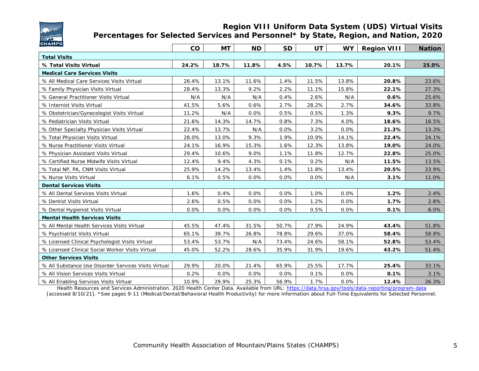

#### **Region VIII Uniform Data System (UDS) Virtual Visits Percentages for Selected Services and Personnel\* by State, Region, and Nation, 2020**

| <b>CHAMPS</b>                                        |       |           |           |           |       |           |                    |               |
|------------------------------------------------------|-------|-----------|-----------|-----------|-------|-----------|--------------------|---------------|
|                                                      | co    | <b>MT</b> | <b>ND</b> | <b>SD</b> | UT    | <b>WY</b> | <b>Region VIII</b> | <b>Nation</b> |
| <b>Total Visits</b>                                  |       |           |           |           |       |           |                    |               |
| % Total Visits Virtual                               | 24.2% | 18.7%     | 11.8%     | 4.5%      | 10.7% | 13.7%     | 20.1%              | 25.0%         |
| <b>Medical Care Services Visits</b>                  |       |           |           |           |       |           |                    |               |
| % All Medical Care Services Visits Virtual           | 26.4% | 13.1%     | 11.6%     | 1.4%      | 11.5% | 13.8%     | 20.8%              | 23.6%         |
| % Family Physician Visits Virtual                    | 28.4% | 13.3%     | 9.2%      | 2.2%      | 11.1% | 15.8%     | 22.1%              | 27.3%         |
| % General Practitioner Visits Virtual                | N/A   | N/A       | N/A       | 0.4%      | 2.6%  | N/A       | 0.6%               | 25.6%         |
| % Internist Visits Virtual                           | 41.5% | 5.6%      | 0.6%      | 2.7%      | 28.2% | 2.7%      | 34.6%              | 33.8%         |
| % Obstetrician/Gynecologist Visits Virtual           | 11.2% | N/A       | 0.0%      | 0.5%      | 0.5%  | 1.3%      | 9.3%               | 9.7%          |
| % Pediatrician Visits Virtual                        | 21.6% | 14.3%     | 14.7%     | 0.8%      | 7.3%  | 4.0%      | 18.6%              | 18.5%         |
| % Other Specialty Physician Visits Virtual           | 22.4% | 13.7%     | N/A       | 0.0%      | 3.2%  | 0.0%      | 21.3%              | 13.3%         |
| % Total Physician Visits Virtual                     | 28.0% | 13.0%     | 9.3%      | 1.9%      | 10.9% | 14.1%     | 22.4%              | 24.1%         |
| % Nurse Practitioner Visits Virtual                  | 24.1% | 16.9%     | 15.3%     | 1.6%      | 12.3% | 13.8%     | 19.0%              | 24.0%         |
| % Physician Assistant Visits Virtual                 | 29.4% | 10.6%     | 9.0%      | 1.1%      | 11.8% | 12.7%     | 22.8%              | 25.0%         |
| % Certified Nurse Midwife Visits Virtual             | 12.4% | 9.4%      | 4.3%      | 0.1%      | 0.2%  | N/A       | 11.5%              | 13.5%         |
| % Total NP, PA, CNM Visits Virtual                   | 25.9% | 14.2%     | 13.4%     | 1.4%      | 11.8% | 13.4%     | 20.5%              | 23.9%         |
| % Nurse Visits Virtual                               | 6.1%  | 0.5%      | 0.0%      | 0.0%      | 0.0%  | N/A       | 3.1%               | 11.0%         |
| <b>Dental Services Visits</b>                        |       |           |           |           |       |           |                    |               |
| % All Dental Services Visits Virtual                 | 1.6%  | 0.4%      | 0.0%      | 0.0%      | 1.0%  | 0.0%      | 1.2%               | 2.4%          |
| % Dentist Visits Virtual                             | 2.6%  | 0.5%      | 0.0%      | 0.0%      | 1.2%  | 0.0%      | 1.7%               | 2.8%          |
| % Dental Hygienist Visits Virtual                    | 0.0%  | 0.0%      | 0.0%      | 0.0%      | 0.5%  | 0.0%      | 0.1%               | 6.0%          |
| <b>Mental Health Services Visits</b>                 |       |           |           |           |       |           |                    |               |
| % All Mental Health Services Visits Virtual          | 45.5% | 47.4%     | 31.5%     | 50.7%     | 27.9% | 24.9%     | 43.4%              | 51.8%         |
| % Psychiatrist Visits Virtual                        | 65.1% | 39.7%     | 26.8%     | 78.8%     | 29.6% | 37.0%     | 58.4%              | 58.8%         |
| % Licensed Clinical Psychologist Visits Virtual      | 53.4% | 53.7%     | N/A       | 73.4%     | 24.6% | 58.1%     | 52.8%              | 53.4%         |
| % Licensed Clinical Social Worker Visits Virtual     | 45.0% | 52.2%     | 28.6%     | 35.9%     | 31.9% | 19.6%     | 43.2%              | 51.4%         |
| <b>Other Services Visits</b>                         |       |           |           |           |       |           |                    |               |
| % All Substance Use Disorder Services Visits Virtual | 29.9% | 20.0%     | 21.4%     | 65.9%     | 25.5% | 17.7%     | 25.4%              | 33.1%         |
| % All Vision Services Visits Virtual                 | 0.2%  | 0.0%      | 0.0%      | 0.0%      | 0.1%  | 0.0%      | 0.1%               | 3.1%          |
| % All Enabling Services Visits Virtual               | 10.9% | 29.9%     | 25.3%     | 56.9%     | 1.7%  | 0.0%      | 12.4%              | 26.3%         |

Health Resources and Services Administration. 2020 Health Center Data. Available from URL: <https://data.hrsa.gov/tools/data-reporting/program-data> [accessed 8/10/21]. \*See pages 9-11 (Medical/Dental/Behavioral Health Productivity) for more information about Full-Time Equivalents for Selected Personnel.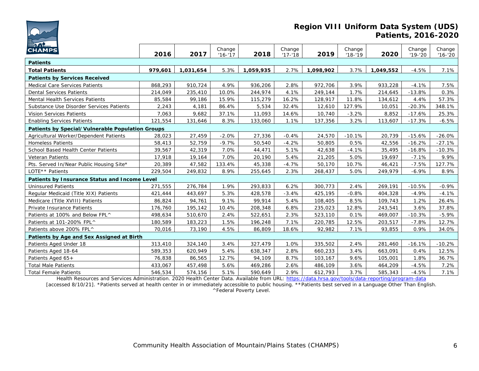

#### **Region VIII Uniform Data System (UDS) Patients, 2016-2020**

| <b>The Street</b><br><b>CHAMPS</b>               |         |           | Change     |           | Change     |           | Change     |           | Change      | Change      |
|--------------------------------------------------|---------|-----------|------------|-----------|------------|-----------|------------|-----------|-------------|-------------|
|                                                  | 2016    | 2017      | $'16 - 17$ | 2018      | $'17 - 18$ | 2019      | $'18 - 19$ | 2020      | $'19 - '20$ | $'16 - '20$ |
| <b>Patients</b>                                  |         |           |            |           |            |           |            |           |             |             |
| <b>Total Patients</b>                            | 979,601 | 1,031,654 | 5.3%       | 1,059,935 | 2.7%       | 1,098,902 | 3.7%       | 1,049,552 | $-4.5%$     | 7.1%        |
| <b>Patients by Services Received</b>             |         |           |            |           |            |           |            |           |             |             |
| Medical Care Services Patients                   | 868,293 | 910,724   | 4.9%       | 936,206   | 2.8%       | 972,706   | 3.9%       | 933,228   | $-4.1%$     | 7.5%        |
| <b>Dental Services Patients</b>                  | 214,049 | 235,410   | 10.0%      | 244,974   | 4.1%       | 249,144   | 1.7%       | 214,645   | $-13.8%$    | 0.3%        |
| Mental Health Services Patients                  | 85,584  | 99,186    | 15.9%      | 115,279   | 16.2%      | 128,917   | 11.8%      | 134,612   | 4.4%        | 57.3%       |
| Substance Use Disorder Services Patients         | 2,243   | 4,181     | 86.4%      | 5,534     | 32.4%      | 12,610    | 127.9%     | 10,051    | $-20.3%$    | 348.1%      |
| Vision Services Patients                         | 7,063   | 9,682     | 37.1%      | 11,093    | 14.6%      | 10,740    | $-3.2%$    | 8,852     | $-17.6%$    | 25.3%       |
| <b>Enabling Services Patients</b>                | 121,554 | 131,646   | 8.3%       | 133,060   | 1.1%       | 137,356   | 3.2%       | 113,607   | $-17.3%$    | $-6.5%$     |
| Patients by Special/Vulnerable Population Groups |         |           |            |           |            |           |            |           |             |             |
| Agricultural Worker/Dependent Patients           | 28,023  | 27,459    | $-2.0%$    | 27,336    | $-0.4%$    | 24,570    | $-10.1%$   | 20,739    | $-15.6%$    | $-26.0%$    |
| <b>Homeless Patients</b>                         | 58,413  | 52,759    | $-9.7%$    | 50,540    | $-4.2%$    | 50,805    | 0.5%       | 42,556    | $-16.2%$    | $-27.1%$    |
| School Based Health Center Patients              | 39,567  | 42,319    | 7.0%       | 44,471    | 5.1%       | 42,638    | $-4.1%$    | 35,495    | $-16.8%$    | $-10.3%$    |
| <b>Veteran Patients</b>                          | 17,918  | 19,164    | 7.0%       | 20,190    | 5.4%       | 21,205    | 5.0%       | 19,697    | $-7.1%$     | 9.9%        |
| Pts. Served In/Near Public Housing Site*         | 20,389  | 47,582    | 133.4%     | 45,338    | $-4.7%$    | 50,170    | 10.7%      | 46,421    | $-7.5%$     | 127.7%      |
| LOTE <sup>*</sup> * Patients                     | 229,504 | 249,832   | 8.9%       | 255,645   | 2.3%       | 268,437   | 5.0%       | 249,979   | $-6.9%$     | 8.9%        |
| Patients by Insurance Status and Income Level    |         |           |            |           |            |           |            |           |             |             |
| <b>Uninsured Patients</b>                        | 271,555 | 276,784   | 1.9%       | 293,833   | 6.2%       | 300,773   | 2.4%       | 269,191   | $-10.5%$    | $-0.9%$     |
| Regular Medicaid (Title XIX) Patients            | 421,444 | 443,697   | 5.3%       | 428,578   | $-3.4%$    | 425,195   | $-0.8%$    | 404,328   | $-4.9%$     | $-4.1%$     |
| Medicare (Title XVIII) Patients                  | 86,824  | 94,761    | 9.1%       | 99,914    | 5.4%       | 108,405   | 8.5%       | 109,743   | 1.2%        | 26.4%       |
| Private Insurance Patients                       | 176,760 | 195,142   | 10.4%      | 208,348   | 6.8%       | 235,023   | 12.8%      | 243,541   | 3.6%        | 37.8%       |
| Patients at 100% and Below FPL^                  | 498,634 | 510,670   | 2.4%       | 522,651   | 2.3%       | 523,110   | 0.1%       | 469,007   | $-10.3%$    | $-5.9%$     |
| Patients at 101-200% FPL^                        | 180,589 | 183,223   | 1.5%       | 196,248   | 7.1%       | 220,785   | 12.5%      | 203,517   | $-7.8%$     | 12.7%       |
| Patients above 200% FPL^                         | 70,016  | 73,190    | 4.5%       | 86,809    | 18.6%      | 92,982    | 7.1%       | 93,855    | 0.9%        | 34.0%       |
| Patients by Age and Sex Assigned at Birth        |         |           |            |           |            |           |            |           |             |             |
| Patients Aged Under 18                           | 313,410 | 324,140   | 3.4%       | 327,479   | 1.0%       | 335,502   | 2.4%       | 281,460   | $-16.1%$    | $-10.2%$    |
| Patients Aged 18-64                              | 589,353 | 620,949   | 5.4%       | 638,347   | 2.8%       | 660,233   | 3.4%       | 663,091   | 0.4%        | 12.5%       |
| Patients Aged 65+                                | 76,838  | 86,565    | 12.7%      | 94,109    | 8.7%       | 103,167   | 9.6%       | 105,001   | 1.8%        | 36.7%       |
| <b>Total Male Patients</b>                       | 433,067 | 457,498   | 5.6%       | 469,286   | 2.6%       | 486,109   | 3.6%       | 464,209   | $-4.5%$     | 7.2%        |
| <b>Total Female Patients</b>                     | 546,534 | 574,156   | 5.1%       | 590,649   | 2.9%       | 612,793   | 3.7%       | 585,343   | $-4.5%$     | 7.1%        |

Health Resources and Services Administration. 2020 Health Center Data. Available from URL: <https://data.hrsa.gov/tools/data-reporting/program-data> [accessed 8/10/21]. \*Patients served at health center in or immediately accessible to public housing. \*\*Patients best served in a Language Other Than English.

^Federal Poverty Level.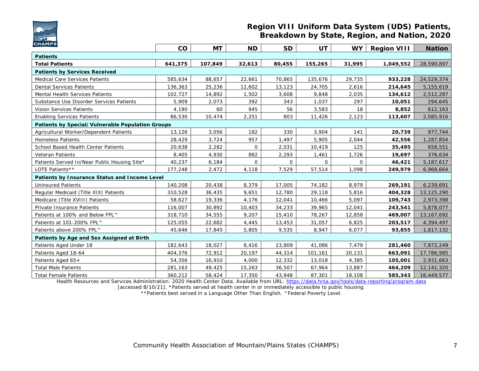

#### **Region VIII Uniform Data System (UDS) Patients, Breakdown by State, Region, and Nation, 2020**

| <b>CHAMPS</b>                                    | co      | <b>MT</b> | <b>ND</b> | <b>SD</b> | <b>UT</b> | <b>WY</b> | <b>Region VIII</b> | <b>Nation</b> |
|--------------------------------------------------|---------|-----------|-----------|-----------|-----------|-----------|--------------------|---------------|
| <b>Patients</b>                                  |         |           |           |           |           |           |                    |               |
| <b>Total Patients</b>                            | 641,375 | 107,849   | 32,613    | 80,455    | 155,265   | 31,995    | 1,049,552          | 28,590,897    |
| <b>Patients by Services Received</b>             |         |           |           |           |           |           |                    |               |
| <b>Medical Care Services Patients</b>            | 585,634 | 88,657    | 22,661    | 70,865    | 135,676   | 29,735    | 933,228            | 24,529,374    |
| <b>Dental Services Patients</b>                  | 136,363 | 25,236    | 12,602    | 13,123    | 24,705    | 2,616     | 214,645            | 5,155,619     |
| Mental Health Services Patients                  | 102,727 | 14,892    | 1,502     | 3,608     | 9,848     | 2,035     | 134,612            | 2,512,287     |
| Substance Use Disorder Services Patients         | 5,909   | 2,073     | 392       | 343       | 1,037     | 297       | 10,051             | 294,645       |
| <b>Vision Services Patients</b>                  | 4,190   | 60        | 945       | 56        | 3,583     | 18        | 8,852              | 612,163       |
| <b>Enabling Services Patients</b>                | 86,530  | 10,474    | 2,251     | 803       | 11,426    | 2,123     | 113,607            | 2,085,916     |
| Patients by Special/Vulnerable Population Groups |         |           |           |           |           |           |                    |               |
| Agricultural Worker/Dependent Patients           | 13,126  | 3,056     | 182       | 330       | 3,904     | 141       | 20,739             | 977,744       |
| <b>Homeless Patients</b>                         | 28,429  | 3,724     | 957       | 1,497     | 5,905     | 2,044     | 42,556             | 1,287,854     |
| School Based Health Center Patients              | 20,638  | 2,282     | 0         | 2,031     | 10,419    | 125       | 35,495             | 658,551       |
| <b>Veteran Patients</b>                          | 8,405   | 4,930     | 882       | 2,293     | 1,461     | 1,726     | 19,697             | 376,634       |
| Patients Served In/Near Public Housing Site*     | 40,237  | 6,184     | $\Omega$  | $\Omega$  | $\Omega$  | $\Omega$  | 46,421             | 5,187,617     |
| LOTE Patients**                                  | 177,248 | 2,472     | 4,118     | 7,529     | 57,514    | 1,098     | 249,979            | 6,968,664     |
| Patients by Insurance Status and Income Level    |         |           |           |           |           |           |                    |               |
| <b>Uninsured Patients</b>                        | 140,208 | 20,438    | 8,379     | 17,005    | 74,182    | 8.979     | 269,191            | 6,239,691     |
| Regular Medicaid (Title XIX) Patients            | 310,528 | 36,435    | 9,651     | 12,780    | 29,118    | 5,816     | 404,328            | 13,125,290    |
| Medicare (Title XVIII) Patients                  | 58,627  | 19,336    | 4,176     | 12,041    | 10,466    | 5,097     | 109,743            | 2,973,398     |
| Private Insurance Patients                       | 116,007 | 30,892    | 10,403    | 34,233    | 39,965    | 12,041    | 243,541            | 5,878,077     |
| Patients at 100% and Below FPL^                  | 318,710 | 34,555    | 9,207     | 15,410    | 78,267    | 12,858    | 469,007            | 13, 167, 692  |
| Patients at 101-200% FPL^                        | 125,055 | 22,682    | 4,445     | 13,453    | 31,057    | 6,825     | 203,517            | 4,394,497     |
| Patients above 200% FPL^                         | 45,646  | 17,845    | 5,805     | 9,535     | 8,947     | 6,077     | 93,855             | 1,817,132     |
| Patients by Age and Sex Assigned at Birth        |         |           |           |           |           |           |                    |               |
| Patients Aged Under 18                           | 182,643 | 18,027    | 8,416     | 23,809    | 41,086    | 7,479     | 281,460            | 7,872,249     |
| Patients Aged 18-64                              | 404,376 | 72,912    | 20,197    | 44,314    | 101,161   | 20,131    | 663,091            | 17,786,985    |
| Patients Aged 65+                                | 54,356  | 16,910    | 4,000     | 12,332    | 13,018    | 4,385     | 105,001            | 2,931,663     |
| <b>Total Male Patients</b>                       | 281,163 | 49,425    | 15,263    | 36,507    | 67,964    | 13,887    | 464,209            | 12,141,320    |
| <b>Total Female Patients</b>                     | 360,212 | 58,424    | 17,350    | 43,948    | 87,301    | 18,108    | 585,343            | 16,449,577    |

Health Resources and Services Administration. 2020 Health Center Data. Available from URL: <https://data.hrsa.gov/tools/data-reporting/program-data>

[accessed 8/10/21]. \*Patients served at health center in or immediately accessible to public housing.

\*\*Patients best served in a Language Other Than English. ^Federal Poverty Level.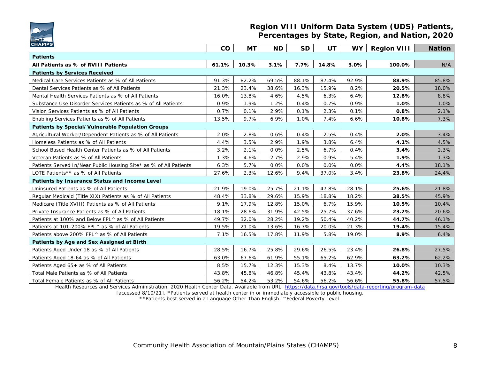

#### **Region VIII Uniform Data System (UDS) Patients, Percentages by State, Region, and Nation, 2020**

| <b>CHAMPS</b>                                                     |           |           |           |           |           |           |                    |               |
|-------------------------------------------------------------------|-----------|-----------|-----------|-----------|-----------|-----------|--------------------|---------------|
|                                                                   | <b>CO</b> | <b>MT</b> | <b>ND</b> | <b>SD</b> | <b>UT</b> | <b>WY</b> | <b>Region VIII</b> | <b>Nation</b> |
| <b>Patients</b>                                                   |           |           |           |           |           |           |                    |               |
| All Patients as % of RVIII Patients                               | 61.1%     | 10.3%     | 3.1%      | 7.7%      | 14.8%     | 3.0%      | 100.0%             | N/A           |
| <b>Patients by Services Received</b>                              |           |           |           |           |           |           |                    |               |
| Medical Care Services Patients as % of All Patients               | 91.3%     | 82.2%     | 69.5%     | 88.1%     | 87.4%     | 92.9%     | 88.9%              | 85.8%         |
| Dental Services Patients as % of All Patients                     | 21.3%     | 23.4%     | 38.6%     | 16.3%     | 15.9%     | 8.2%      | 20.5%              | 18.0%         |
| Mental Health Services Patients as % of All Patients              | 16.0%     | 13.8%     | 4.6%      | 4.5%      | 6.3%      | 6.4%      | 12.8%              | 8.8%          |
| Substance Use Disorder Services Patients as % of All Patients     | 0.9%      | 1.9%      | 1.2%      | 0.4%      | 0.7%      | 0.9%      | 1.0%               | 1.0%          |
| Vision Services Patients as % of All Patients                     | 0.7%      | 0.1%      | 2.9%      | 0.1%      | 2.3%      | 0.1%      | 0.8%               | 2.1%          |
| Enabling Services Patients as % of All Patients                   | 13.5%     | 9.7%      | 6.9%      | 1.0%      | 7.4%      | 6.6%      | 10.8%              | 7.3%          |
| Patients by Special/Vulnerable Population Groups                  |           |           |           |           |           |           |                    |               |
| Agricultural Worker/Dependent Patients as % of All Patients       | 2.0%      | 2.8%      | 0.6%      | 0.4%      | 2.5%      | 0.4%      | 2.0%               | 3.4%          |
| Homeless Patients as % of All Patients                            | 4.4%      | 3.5%      | 2.9%      | 1.9%      | 3.8%      | 6.4%      | 4.1%               | 4.5%          |
| School Based Health Center Patients as % of All Patients          | 3.2%      | 2.1%      | 0.0%      | 2.5%      | 6.7%      | 0.4%      | 3.4%               | 2.3%          |
| Veteran Patients as % of All Patients                             | 1.3%      | 4.6%      | 2.7%      | 2.9%      | 0.9%      | 5.4%      | 1.9%               | 1.3%          |
| Patients Served In/Near Public Housing Site* as % of All Patients | 6.3%      | 5.7%      | 0.0%      | 0.0%      | 0.0%      | 0.0%      | 4.4%               | 18.1%         |
| LOTE Patients** as % of All Patients                              | 27.6%     | 2.3%      | 12.6%     | 9.4%      | 37.0%     | 3.4%      | 23.8%              | 24.4%         |
| Patients by Insurance Status and Income Level                     |           |           |           |           |           |           |                    |               |
| Uninsured Patients as % of All Patients                           | 21.9%     | 19.0%     | 25.7%     | 21.1%     | 47.8%     | 28.1%     | 25.6%              | 21.8%         |
| Regular Medicaid (Title XIX) Patients as % of All Patients        | 48.4%     | 33.8%     | 29.6%     | 15.9%     | 18.8%     | 18.2%     | 38.5%              | 45.9%         |
| Medicare (Title XVIII) Patients as % of All Patients              | 9.1%      | 17.9%     | 12.8%     | 15.0%     | 6.7%      | 15.9%     | 10.5%              | 10.4%         |
| Private Insurance Patients as % of All Patients                   | 18.1%     | 28.6%     | 31.9%     | 42.5%     | 25.7%     | 37.6%     | 23.2%              | 20.6%         |
| Patients at 100% and Below FPL^ as % of All Patients              | 49.7%     | 32.0%     | 28.2%     | 19.2%     | 50.4%     | 40.2%     | 44.7%              | 46.1%         |
| Patients at 101-200% FPL^ as % of All Patients                    | 19.5%     | 21.0%     | 13.6%     | 16.7%     | 20.0%     | 21.3%     | 19.4%              | 15.4%         |
| Patients above 200% FPL^ as % of All Patients                     | 7.1%      | 16.5%     | 17.8%     | 11.9%     | 5.8%      | 19.0%     | 8.9%               | 6.4%          |
| Patients by Age and Sex Assigned at Birth                         |           |           |           |           |           |           |                    |               |
| Patients Aged Under 18 as % of All Patients                       | 28.5%     | 16.7%     | 25.8%     | 29.6%     | 26.5%     | 23.4%     | 26.8%              | 27.5%         |
| Patients Aged 18-64 as % of All Patients                          | 63.0%     | 67.6%     | 61.9%     | 55.1%     | 65.2%     | 62.9%     | 63.2%              | 62.2%         |
| Patients Aged 65+ as % of All Patients                            | 8.5%      | 15.7%     | 12.3%     | 15.3%     | 8.4%      | 13.7%     | 10.0%              | 10.3%         |
| Total Male Patients as % of All Patients                          | 43.8%     | 45.8%     | 46.8%     | 45.4%     | 43.8%     | 43.4%     | 44.2%              | 42.5%         |
| Total Female Patients as % of All Patients                        | 56.2%     | 54.2%     | 53.2%     | 54.6%     | 56.2%     | 56.6%     | 55.8%              | 57.5%         |

Health Resources and Services Administration. 2020 Health Center Data. Available from URL: <https://data.hrsa.gov/tools/data-reporting/program-data>

[accessed 8/10/21]. \*Patients served at health center in or immediately accessible to public housing. \*\*Patients best served in a Language Other Than English. ^Federal Poverty Level.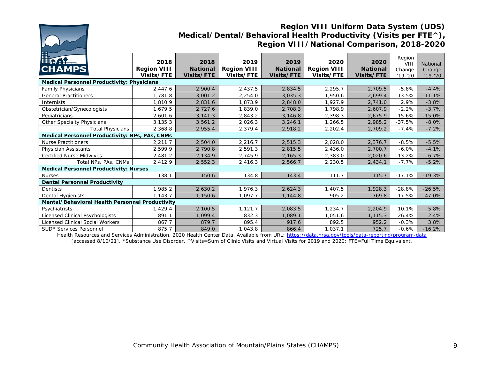

### **Region VIII Uniform Data System (UDS) Medical/Dental/Behavioral Health Productivity (Visits per FTE^), Region VIII/National Comparison, 2018-2020**

| <b>Decision</b><br><b>CHAMPS</b>                  | 2018<br><b>Region VIII</b><br>Visits/FTE | 2018<br><b>National</b><br><b>Visits/FTE</b> | 2019<br><b>Region VIII</b><br>Visits/FTE | 2019<br><b>National</b><br>Visits/FTE | 2020<br><b>Region VIII</b><br>Visits/FTE | 2020<br><b>National</b><br><b>Visits/FTE</b> | Region<br>VII<br>Change<br>$'19 - '20$ | National<br>Change<br>$'19 - '20$ |  |  |
|---------------------------------------------------|------------------------------------------|----------------------------------------------|------------------------------------------|---------------------------------------|------------------------------------------|----------------------------------------------|----------------------------------------|-----------------------------------|--|--|
| <b>Medical Personnel Productivity: Physicians</b> |                                          |                                              |                                          |                                       |                                          |                                              |                                        |                                   |  |  |
| <b>Family Physicians</b>                          | 2,447.6                                  | 2,900.4                                      | 2,437.5                                  | 2,834.5                               | 2,295.7                                  | 2,709.5                                      | $-5.8%$                                | $-4.4%$                           |  |  |
| <b>General Practitioners</b>                      | 1,781.8                                  | 3,001.2                                      | 2,254.0                                  | 3,035.3                               | 1,950.6                                  | 2,699.4                                      | $-13.5%$                               | $-11.1%$                          |  |  |
| <b>Internists</b>                                 | 1,810.9                                  | 2,831.6                                      | 1,873.9                                  | 2,848.0                               | 1.927.9                                  | 2,741.0                                      | 2.9%                                   | $-3.8%$                           |  |  |
| Obstetrician/Gynecologists                        | 1,679.5                                  | 2,727.6                                      | 1,839.0                                  | 2,708.3                               | 1,798.9                                  | 2,607.9                                      | $-2.2%$                                | $-3.7%$                           |  |  |
| Pediatricians                                     | 2,601.6                                  | 3,141.3                                      | 2,843.2                                  | 3,146.8                               | 2,398.3                                  | 2,675.9                                      | $-15.6%$                               | $-15.0%$                          |  |  |
| <b>Other Specialty Physicians</b>                 | 3,135.3                                  | 3,561.2                                      | 2,026.3                                  | 3,246.1                               | 1,266.5                                  | 2,985.2                                      | $-37.5%$                               | $-8.0%$                           |  |  |
| Total Physicians                                  | 2,368.8                                  | 2,955.4                                      | 2,379.4                                  | 2,918.2                               | 2,202.4                                  | 2,709.2                                      | $-7.4%$                                | $-7.2%$                           |  |  |
| Medical Personnel Productivity: NPs, PAs, CNMs    |                                          |                                              |                                          |                                       |                                          |                                              |                                        |                                   |  |  |
| <b>Nurse Practitioners</b>                        | 2,211.7                                  | 2,504.0                                      | 2,216.7                                  | 2,515.3                               | 2,028.0                                  | 2,376.7                                      | $-8.5%$                                | $-5.5%$                           |  |  |
| Physician Assistants                              | 2,599.9                                  | 2,790.8                                      | 2,591.3                                  | 2,815.5                               | 2,436.0                                  | 2,700.7                                      | $-6.0%$                                | $-4.1%$                           |  |  |
| <b>Certified Nurse Midwives</b>                   | 2,481.2                                  | 2,134.9                                      | 2,745.9                                  | 2,165.3                               | 2,383.0                                  | 2,020.6                                      | $-13.2%$                               | $-6.7%$                           |  |  |
| Total NPs, PAs, CNMs                              | 2,412.9                                  | 2,552.3                                      | 2,416.3                                  | 2,566.7                               | 2,230.5                                  | 2,434.1                                      | $-7.7%$                                | $-5.2%$                           |  |  |
| <b>Medical Personnel Productivity: Nurses</b>     |                                          |                                              |                                          |                                       |                                          |                                              |                                        |                                   |  |  |
| <b>Nurses</b>                                     | 138.1                                    | 150.6                                        | 134.8                                    | 143.4                                 | 111.7                                    | 115.7                                        | $-17.1%$                               | $-19.3%$                          |  |  |
| <b>Dental Personnel Productivity</b>              |                                          |                                              |                                          |                                       |                                          |                                              |                                        |                                   |  |  |
| Dentists                                          | 1,985.2                                  | 2,630.2                                      | 1,976.3                                  | 2,624.3                               | 1,407.5                                  | 1,928.3                                      | $-28.8%$                               | $-26.5%$                          |  |  |
| Dental Hygienists                                 | 1,143.7                                  | 1,150.6                                      | 1,097.7                                  | 1,144.8                               | 905.2                                    | 769.8                                        | $-17.5%$                               | $-47.0%$                          |  |  |
| Mental/Behavioral Health Personnel Productivity   |                                          |                                              |                                          |                                       |                                          |                                              |                                        |                                   |  |  |
| Psychiatrists                                     | ,429.4                                   | 2,100.5                                      | 1,121.7                                  | 2,083.5                               | 1,234.7                                  | 2,204.9                                      | 10.1%                                  | 5.8%                              |  |  |
| Licensed Clinical Psychologists                   | 891.1                                    | 1,099.4                                      | 832.3                                    | ,089.1                                | 1,051.6                                  | 1,115.3                                      | 26.4%                                  | 2.4%                              |  |  |
| Licensed Clinical Social Workers                  | 867.7                                    | 879.7                                        | 895.4                                    | 917.6                                 | 892.5                                    | 952.2                                        | $-0.3%$                                | 3.8%                              |  |  |
| SUD* Services Personnel                           | 875.7                                    | 849.0                                        | 1,043.8                                  | 866.4                                 | 1,037.1                                  | 725.7                                        | $-0.6%$                                | $-16.2%$                          |  |  |

Health Resources and Services Administration. 2020 Health Center Data. Available from URL: <https://data.hrsa.gov/tools/data-reporting/program-data> [accessed 8/10/21]. \*Substance Use Disorder. ^Visits=Sum of Clinic Visits and Virtual Visits for 2019 and 2020; FTE=Full Time Equivalent.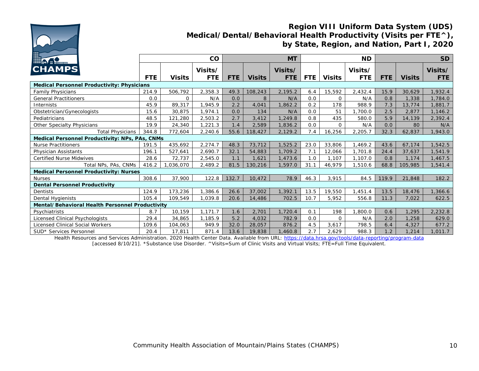

## **Region VIII Uniform Data System (UDS) Medical/Dental/Behavioral Health Productivity (Visits per FTE^), by State, Region, and Nation, Part I, 2020**

| <b>Letter</b>                                     |            |               | co         |            |               | <b>MT</b>  | <b>ND</b> |               |         | <b>SD</b>  |               |            |
|---------------------------------------------------|------------|---------------|------------|------------|---------------|------------|-----------|---------------|---------|------------|---------------|------------|
| <b>CHAMPS</b>                                     |            |               | Visits/    |            |               | Visits/    |           |               | Visits/ |            |               | Visits/    |
|                                                   | <b>FTE</b> | <b>Visits</b> | <b>FTE</b> | <b>FTE</b> | <b>Visits</b> | <b>FTE</b> | FTE.      | <b>Visits</b> | FTE.    | <b>FTE</b> | <b>Visits</b> | <b>FTE</b> |
| <b>Medical Personnel Productivity: Physicians</b> |            |               |            |            |               |            |           |               |         |            |               |            |
| <b>Family Physicians</b>                          | 214.9      | 506,792       | 2,358.3    | 49.3       | 108,243       | 2,195.2    | 6.4       | 15,592        | 2,432.4 | 15.9       | 30,629        | 1,932.4    |
| <b>General Practitioners</b>                      | 0.0        | $\Omega$      | N/A        | 0.0        | 8             | N/A        | 0.0       | $\Omega$      | N/A     | 0.8        | 1,338         | 1,784.0    |
| Internists                                        | 45.9       | 89,317        | .945.9     | 2.2        | 4,041         | 1.862.2    | 0.2       | 178           | 988.9   | 7.3        | 13,774        | 1,881.7    |
| Obstetrician/Gynecologists                        | 15.6       | 30,875        | ,974.1     | 0.0        | 134           | N/A        | 0.0       | 51            | .700.0  | 2.5        | 2,877         | 1,146.2    |
| Pediatricians                                     | 48.5       | 121,280       | 2,503.2    | 2.7        | 3,412         | 1,249.8    | 0.8       | 435           | 580.0   | 5.9        | 14,139        | 2,392.4    |
| Other Specialty Physicians                        | 19.9       | 24,340        | ,221.3     | 1.4        | 2,589         | 1,836.2    | 0.0       | $\Omega$      | N/A     | 0.0        | 80            | N/A        |
| <b>Total Physicians</b>                           | 344.8      | 772,604       | 2,240.6    | 55.6       | 118,427       | 2,129.2    | 7.4       | 16,256        | 2,205.7 | 32.3       | 62,837        | 1,943.0    |
| Medical Personnel Productivity: NPs, PAs, CNMs    |            |               |            |            |               |            |           |               |         |            |               |            |
| <b>Nurse Practitioners</b>                        | 191.5      | 435,692       | 2,274.7    | 48.3       | 73,712        | 1,525.2    | 23.0      | 33,806        | 1,469.2 | 43.6       | 67,174        | 1,542.5    |
| Physician Assistants                              | 196.1      | 527,641       | 2.690.7    | 32.1       | 54,883        | 1,709.2    | 7.1       | 12.066        | 1,701.8 | 24.4       | 37,637        | 1,541.9    |
| <b>Certified Nurse Midwives</b>                   | 28.6       | 72,737        | 2,545.0    | 1.1        | 1,621         | 1,473.6    | 1.0       | 1,107         | 1,107.0 | 0.8        | 1,174         | 1,467.5    |
| Total NPs, PAs, CNMs                              | 416.2      | 1,036,070     | 2,489.2    | 81.5       | 130,216       | 1,597.0    | 31.1      | 46.979        | 1.510.6 | 68.8       | 105,985       | 1,541.4    |
| <b>Medical Personnel Productivity: Nurses</b>     |            |               |            |            |               |            |           |               |         |            |               |            |
| <b>Nurses</b>                                     | 308.6      | 37,900        | 122.8      | 132.7      | 10,472        | 78.9       | 46.3      | 3,915         | 84.5    | 119.9      | 21,848        | 182.2      |
| <b>Dental Personnel Productivity</b>              |            |               |            |            |               |            |           |               |         |            |               |            |
| Dentists                                          | 124.9      | 173,236       | ,386.6     | 26.6       | 37,002        | 1,392.1    | 13.5      | 19,550        | 1,451.4 | 13.5       | 18,476        | ,366.6     |
| Dental Hygienists                                 | 105.4      | 109,549       | ,039.8     | 20.6       | 14,486        | 702.5      | 10.7      | 5,952         | 556.8   | 11.3       | 7,022         | 622.5      |
| Mental/Behavioral Health Personnel Productivity   |            |               |            |            |               |            |           |               |         |            |               |            |
| Psychiatrists                                     | 8.7        | 10,159        | 1.171.7    | 1.6        | 2,701         | 1,720.4    | 0.1       | 198           | 1,800.0 | 0.6        | 1,295         | 2,232.8    |
| Licensed Clinical Psychologists                   | 29.4       | 34,865        | ,185.9     | 5.2        | 4,032         | 782.9      | 0.0       | $\Omega$      | N/A     | 2.0        | 1,258         | 629.0      |
| <b>Licensed Clinical Social Workers</b>           | 109.6      | 104,063       | 949.9      | 32.0       | 28,057        | 876.2      | 4.5       | 3,617         | 798.5   | 6.4        | 4.327         | 677.2      |
| SUD* Services Personnel                           | 20.4       | 17,811        | 871.4      | 13.6       | 19,838        | 1,460.8    | 2.7       | 2,629         | 988.3   | 1.2        | 1,214         | 1,011.7    |

Health Resources and Services Administration. 2020 Health Center Data. Available from URL: <https://data.hrsa.gov/tools/data-reporting/program-data> [accessed 8/10/21]. \*Substance Use Disorder. ^Visits=Sum of Clinic Visits and Virtual Visits; FTE=Full Time Equivalent.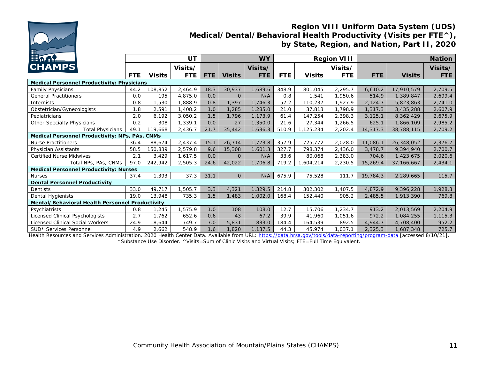

### **Region VIII Uniform Data System (UDS) Medical/Dental/Behavioral Health Productivity (Visits per FTE^), by State, Region, and Nation, Part II, 2020**

| <b>Hinder</b>                                     |            |               | UT         |      |               | <b>WY</b>  |            |          | <b>Region VIII</b> | <b>Nation</b> |            |            |
|---------------------------------------------------|------------|---------------|------------|------|---------------|------------|------------|----------|--------------------|---------------|------------|------------|
| <b>CHAMPS</b>                                     |            |               | Visits/    |      |               | Visits/    |            |          | Visits/            |               |            | Visits/    |
|                                                   | <b>FTE</b> | <b>Visits</b> | <b>FTE</b> | FTE  | <b>Visits</b> | <b>FTE</b> | <b>FTE</b> | Visits   | <b>FTE</b>         | <b>FTE</b>    | Visits     | <b>FTE</b> |
| <b>Medical Personnel Productivity: Physicians</b> |            |               |            |      |               |            |            |          |                    |               |            |            |
| <b>Family Physicians</b>                          | 44.2       | 108,852       | 2,464.9    | 18.3 | 30,937        | 1,689.6    | 348.9      | 801,045  | 2,295.7            | 6,610.2       | 17,910,579 | 2,709.5    |
| <b>General Practitioners</b>                      | 0.0        | 195           | 4,875.0    | 0.0  | $\Omega$      | N/A        | 0.8        | 1,541    | 1,950.6            | 514.9         | 1,389,847  | 2,699.4    |
| <b>Internists</b>                                 | 0.8        | ,530          | 1,888.9    | 0.8  | 1,397         | 1,746.3    | 57.2       | 110,237  | 1,927.9            | 2,124.7       | 5,823,863  | 2,741.0    |
| Obstetrician/Gynecologists                        | 1.8        | 2,591         | 1,408.2    | 1.0  | 1,285         | 1,285.0    | 21.0       | 37,813   | 1,798.9            | 1,317.3       | 3,435,288  | 2,607.9    |
| Pediatricians                                     | 2.0        | 6.192         | 3,050.2    | 1.5  | 1,796         | 1,173.9    | 61.4       | 147,254  | 2,398.3            | 3,125.1       | 8,362,429  | 2,675.9    |
| Other Specialty Physicians                        | 0.2        | 308           | 1,339.1    | 0.0  | 27            | 1,350.0    | 21.6       | 27,344   | 1,266.5            | 625.1         | 1,866,109  | 2,985.2    |
| <b>Total Physicians</b>                           | 49.1       | 119,668       | 2,436.7    | 21.7 | 35,442        | 1,636.3    | 510.9      | ,125,234 | 2,202.4            | 14,317.3      | 38,788,115 | 2,709.2    |
| Medical Personnel Productivity: NPs, PAs, CNMs    |            |               |            |      |               |            |            |          |                    |               |            |            |
| <b>Nurse Practitioners</b>                        | 36.4       | 88,674        | 2,437.4    | 15.1 | 26,714        | 1,773.8    | 357.9      | 725,772  | 2,028.0            | 11,086.1      | 26,348,052 | 2,376.7    |
| Physician Assistants                              | 58.5       | 50,839        | 2,579.8    | 9.6  | 15,308        | 1,601.3    | 327.7      | 798,374  | 2,436.0            | 3,478.7       | 9,394,940  | 2,700.7    |
| Certified Nurse Midwives                          | 2.1        | 3,429         | 1.617.5    | 0.0  | $\Omega$      | N/A        | 33.6       | 80,068   | 2,383.0            | 704.6         | 1,423,675  | 2,020.6    |
| Total NPs, PAs, CNMs                              | 97.0       | 242,942       | 2,505.3    | 24.6 | 42,022        | 1,706.8    | 719.2      | 604,214, | 2,230.5            | 15,269.4      | 37,166,667 | 2,434.1    |
| <b>Medical Personnel Productivity: Nurses</b>     |            |               |            |      |               |            |            |          |                    |               |            |            |
| <b>Nurses</b>                                     | 37.4       | ,393          | 37.3       | 31.1 | $\Omega$      | N/A        | 675.9      | 75,528   | 111.7              | 19,784.3      | 2,289,665  | 115.7      |
| <b>Dental Personnel Productivity</b>              |            |               |            |      |               |            |            |          |                    |               |            |            |
| Dentists                                          | 33.0       | 49,717        | 1,505.7    | 3.3  | 4,321         | 1,329.5    | 214.8      | 302,302  | 1,407.5            | 4,872.9       | 9,396,228  | 1,928.3    |
| Dental Hygienists                                 | 19.0       | 13,948        | 735.3      | 1.5  | 1,483         | 1,002.0    | 168.4      | 152,440  | 905.2              | 2,485.5       | 1,913,390  | 769.8      |
| Mental/Behavioral Health Personnel Productivity   |            |               |            |      |               |            |            |          |                    |               |            |            |
| Psychiatrists                                     | 0.8        | ,245          | ,575.9     | 1.0  | 108           | 108.0      | 12.7       | 15,706   | 1,234.7            | 913.2         | 2,013,569  | 2,204.9    |
| Licensed Clinical Psychologists                   | 2.7        | ,762          | 652.6      | 0.6  | 43            | 67.2       | 39.9       | 41,960   | 051.6              | 972.2         | 1,084,255  | 1,115.3    |
| Licensed Clinical Social Workers                  | 24.9       | 18,644        | 749.7      | 7.0  | 5,831         | 833.0      | 184.4      | 164,539  | 892.5              | 4,944.7       | 4,708,400  | 952.2      |
| SUD* Services Personnel                           | 4.9        | 2,662         | 548.9      | 1.6  | 1,820         | 1,137.5    | 44.3       | 45,974   | 1,037.1            | 2,325.3       | 1,687,348  | 725.7      |

Health Resources and Services Administration. 2020 Health Center Data. Available from URL: <https://data.hrsa.gov/tools/data-reporting/program-data> [accessed 8/10/21]. \*Substance Use Disorder. ^Visits=Sum of Clinic Visits and Virtual Visits; FTE=Full Time Equivalent.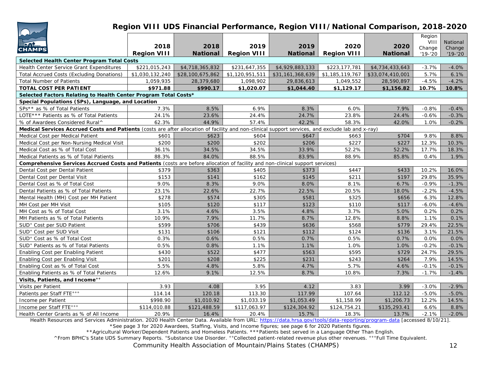| +1 II |
|-------|

### **Region VIII UDS Financial Performance, Region VIII/National Comparison, 2018-2020**

| $\overline{\phantom{a}}$<br><b>In AP</b><br><b>CHAMPS</b>                                                                                         | 2018<br><b>Region VIII</b> | 2018<br>National | 2019<br><b>Region VIII</b> | 2019<br><b>National</b> | 2020<br><b>Region VIII</b> | 2020<br><b>National</b> | Region<br>VIII<br>Change<br>$'19 - '20$ | National<br>Change<br>$'19 - '20$ |
|---------------------------------------------------------------------------------------------------------------------------------------------------|----------------------------|------------------|----------------------------|-------------------------|----------------------------|-------------------------|-----------------------------------------|-----------------------------------|
| Selected Health Center Program Total Costs                                                                                                        |                            |                  |                            |                         |                            |                         |                                         |                                   |
| Health Center Service Grant Expenditures                                                                                                          | \$221,015,243              | \$4,718,365,832  | \$231,647,355              | \$4,929,883,133         | \$223,177,781              | \$4,734,433,643         | $-3.7%$                                 | $-4.0%$                           |
| Total Accrued Costs (Excluding Donations)                                                                                                         | \$1,030,132,240            | \$28,100,675,862 | \$1,120,951,511            | \$31,161,368,639        | \$1,185,119,767            | \$33,074,410,001        | 5.7%                                    | 6.1%                              |
| <b>Total Number of Patients</b>                                                                                                                   | 1,059,935                  | 28,379,680       | 1,098,902                  | 29,836,613              | 1,049,552                  | 28,590,897              | $-4.5%$                                 | $-4.2%$                           |
| TOTAL COST PER PATIENT                                                                                                                            | \$971.88                   | \$990.17         | \$1,020.07                 | \$1,044.40              | \$1,129.17                 | \$1,156.82              | 10.7%                                   | 10.8%                             |
| Selected Factors Relating to Health Center Program Total Costs*                                                                                   |                            |                  |                            |                         |                            |                         |                                         |                                   |
| Special Populations (SPs), Language, and Location                                                                                                 |                            |                  |                            |                         |                            |                         |                                         |                                   |
| SPs** as % of Total Patients                                                                                                                      | 7.3%                       | 8.5%             | 6.9%                       | 8.3%                    | 6.0%                       | 7.9%                    | $-0.8%$                                 | $-0.4%$                           |
| LOTE*** Patients as % of Total Patients                                                                                                           | 24.1%                      | 23.6%            | 24.4%                      | 24.7%                   | 23.8%                      | 24.4%                   | $-0.6%$                                 | $-0.3%$                           |
| % of Awardees Considered Rural^                                                                                                                   | 62.3%                      | 44.9%            | 57.4%                      | 42.2%                   | 58.3%                      | 42.0%                   | 1.0%                                    | $-0.2%$                           |
| Medical Services Accrued Costs and Patients (costs are after allocation of facility and non-clinical support services, and exclude lab and x-ray) |                            |                  |                            |                         |                            |                         |                                         |                                   |
| Medical Cost per Medical Patient                                                                                                                  | \$601                      | \$623            | \$604                      | \$647                   | \$663                      | \$704                   | 9.8%                                    | 8.8%                              |
| Medical Cost per Non-Nursing Medical Visit                                                                                                        | \$200                      | \$200            | \$202                      | \$206                   | \$227                      | \$227                   | 12.3%                                   | 10.3%                             |
| Medical Cost as % of Total Cost                                                                                                                   | 36.1%                      | 34.5%            | 34.5%                      | 33.9%                   | 52.2%                      | 52.2%                   | 17.7%                                   | 18.3%                             |
| Medical Patients as % of Total Patients                                                                                                           | 88.3%                      | 84.0%            | 88.5%                      | 83.9%                   | 88.9%                      | 85.8%                   | 0.4%                                    | 1.9%                              |
| Comprehensive Services Accrued Costs and Patients (costs are before allocation of facility and non-clinical support services)                     |                            |                  |                            |                         |                            |                         |                                         |                                   |
| Dental Cost per Dental Patient                                                                                                                    | \$379                      | \$363            | \$405                      | \$373                   | \$447                      | \$433                   | 10.2%                                   | 16.0%                             |
| Dental Cost per Dental Visit                                                                                                                      | \$153                      | \$141            | \$162                      | \$145                   | \$211                      | \$197                   | 29.8%                                   | 35.9%                             |
| Dental Cost as % of Total Cost                                                                                                                    | 9.0%                       | 8.3%             | 9.0%                       | 8.0%                    | 8.1%                       | 6.7%                    | $-0.9%$                                 | $-1.3%$                           |
| Dental Patients as % of Total Patients                                                                                                            | 23.1%                      | 22.6%            | 22.7%                      | 22.5%                   | 20.5%                      | 18.0%                   | $-2.2%$                                 | $-4.5%$                           |
| Mental Health (MH) Cost per MH Patient                                                                                                            | \$278                      | \$574            | \$305                      | \$581                   | \$325                      | \$656                   | 6.3%                                    | 12.8%                             |
| MH Cost per MH Visit                                                                                                                              | \$105                      | \$120            | \$117                      | \$123                   | \$110                      | \$117                   | $-6.0%$                                 | $-4.6%$                           |
| MH Cost as % of Total Cost                                                                                                                        | 3.1%                       | 4.6%             | 3.5%                       | 4.8%                    | 3.7%                       | 5.0%                    | 0.2%                                    | 0.2%                              |
| MH Patients as % of Total Patients                                                                                                                | 10.9%                      | 7.9%             | 11.7%                      | 8.7%                    | 12.8%                      | 8.8%                    | 1.1%                                    | 0.1%                              |
| SUD <sup>+</sup> Cost per SUD Patient                                                                                                             | \$599                      | \$706            | \$439                      | \$636                   | \$568                      | \$779                   | 29.4%                                   | 22.5%                             |
| SUD <sup>+</sup> Cost per SUD Visit                                                                                                               | \$131                      | \$106            | \$121                      | \$112                   | \$124                      | \$136                   | 3.1%                                    | 21.5%                             |
| SUD <sup>+</sup> Cost as % of Total Cost                                                                                                          | 0.3%                       | 0.6%             | 0.5%                       | 0.7%                    | 0.5%                       | 0.7%                    | 0.0%                                    | 0.0%                              |
| SUD <sup>+</sup> Patients as % of Total Patients                                                                                                  | 0.5%                       | 0.8%             | 1.1%                       | 1.1%                    | 1.0%                       | 1.0%                    | $-0.2%$                                 | $-0.1%$                           |
| Enabling Cost per Enabling Patient                                                                                                                | \$430                      | \$522            | \$477                      | \$563                   | \$595                      | \$729                   | 24.7%                                   | 29.5%                             |
| Enabling Cost per Enabling Visit                                                                                                                  | \$201                      | \$208            | \$225                      | \$231                   | \$243                      | \$264                   | 7.9%                                    | 14.5%                             |
| Enabling Cost as % of Total Cost                                                                                                                  | 5.5%                       | 4.8%             | 5.8%                       | 4.7%                    | 5.7%                       | 4.6%                    | $-0.1%$                                 | $-0.1%$                           |
| Enabling Patients as % of Total Patients                                                                                                          | 12.6%                      | 9.1%             | 12.5%                      | 8.7%                    | 10.8%                      | 7.3%                    | $-1.7%$                                 | $-1.4%$                           |
| Visits, Patients, and Income <sup>++</sup>                                                                                                        |                            |                  |                            |                         |                            |                         |                                         |                                   |
| Visits per Patient                                                                                                                                | 3.93                       | 4.08             | 3.95                       | 4.12                    | 3.83                       | 3.99                    | $-3.0%$                                 | $-2.9%$                           |
| Patients per Staff FTE+++                                                                                                                         | 114.14                     | 120.18           | 113.30                     | 117.99                  | 107.64                     | 112.12                  | $-5.0%$                                 | $-5.0%$                           |
| Income per Patient                                                                                                                                | \$998.90                   | \$1,010.92       | \$1,033.19                 | \$1,053.49              | \$1,158.99                 | \$1,206.73              | 12.2%                                   | 14.5%                             |
| Income per Staff FTE+++                                                                                                                           | \$114,010.88               | \$121,488.59     | \$117,063.97               | \$124,304.92            | \$124,754.21               | \$135,293.41            | 6.6%                                    | 8.8%                              |
| Health Center Grants as % of All Income                                                                                                           | 20.9%                      | 16.4%            | 20.4%                      | 15.7%                   | 18.3%                      | 13.7%                   | $-2.1%$                                 | $-2.0%$                           |

Health Resources and Services Administration. 2020 Health Center Data. Available from URL: <https://data.hrsa.gov/tools/data-reporting/program-data> [accessed 8/10/21].

\*See page 3 for 2020 Awardees, Staffing, Visits, and Income figures; see page 6 for 2020 Patients figures.

\*\*Agricultural Worker/Dependent Patients and Homeless Patients. \*\*\*Patients best served in a Language Other Than English.

^From BPHC's State UDS Summary Reports. +Substance Use Disorder. ++Collected patient-related revenue plus other revenues. +++Full Time Equivalent.

*Community Health Association of Mountain/Plains States (CHAMPS)* 12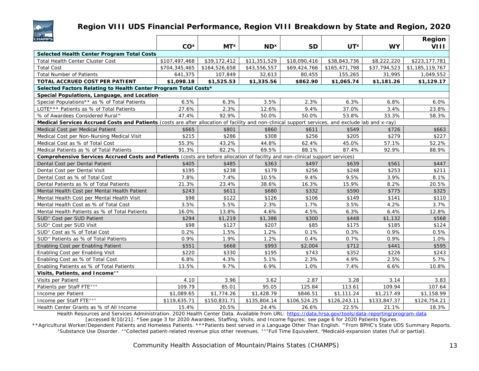

### **Region VIII UDS Financial Performance, Region VIII Breakdown by State and Region, 2020**

| <b>CHAMPS</b>                                                                                                                                     |                 |                 |                        |              |                        |              | Region          |  |  |  |
|---------------------------------------------------------------------------------------------------------------------------------------------------|-----------------|-----------------|------------------------|--------------|------------------------|--------------|-----------------|--|--|--|
|                                                                                                                                                   | CO <sup>x</sup> | MT <sup>x</sup> | <b>ND</b> <sup>x</sup> | <b>SD</b>    | <b>UT</b> <sup>x</sup> | <b>WY</b>    | VIII            |  |  |  |
| Selected Health Center Program Total Costs                                                                                                        |                 |                 |                        |              |                        |              |                 |  |  |  |
| <b>Total Health Center Cluster Cost</b>                                                                                                           | \$107,497,468   | \$39,172,412    | \$11,351,529           | \$18,090,416 | \$38,843,736           | \$8,222,220  | \$223,177,781   |  |  |  |
| <b>Total Cost</b>                                                                                                                                 | \$704,345,465   | \$164,526,658   | \$43,556,557           | \$69,424,766 | \$165,471,798          | \$37,794,523 | \$1,185,119,767 |  |  |  |
| <b>Total Number of Patients</b>                                                                                                                   | 641,375         | 107,849         | 32,613                 | 80,455       | 155,265                | 31,995       | 1,049,552       |  |  |  |
| TOTAL ACCRUED COST PER PATIENT                                                                                                                    | \$1,098.18      | \$1,525.53      | \$1,335.56             | \$862.90     | \$1,065.74             | \$1,181.26   | \$1,129.17      |  |  |  |
| Selected Factors Relating to Health Center Program Total Costs*                                                                                   |                 |                 |                        |              |                        |              |                 |  |  |  |
| Special Populations, Language, and Location                                                                                                       |                 |                 |                        |              |                        |              |                 |  |  |  |
| Special Populations** as % of Total Patients                                                                                                      | 6.5%            | 6.3%            | 3.5%                   | 2.3%         | 6.3%                   | 6.8%         | 6.0%            |  |  |  |
| LOTE *** Patients as % of Total Patients                                                                                                          | 27.6%           | 2.3%            | 12.6%                  | 9.4%         | 37.0%                  | 3.4%         | 23.8%           |  |  |  |
| % of Awardees Considered Rural^                                                                                                                   | 47.4%           | 92.9%           | 50.0%                  | 50.0%        | 53.8%                  | 33.3%        | 58.3%           |  |  |  |
| Medical Services Accrued Costs and Patients (costs are after allocation of facility and non-clinical support services, and exclude lab and x-ray) |                 |                 |                        |              |                        |              |                 |  |  |  |
| Medical Cost per Medical Patient                                                                                                                  | \$665           | \$801           | \$860                  | \$611        | \$549                  | \$726        | \$663           |  |  |  |
| Medical Cost per Non-Nursing Medical Visit                                                                                                        | \$215           | \$286           | \$308                  | \$256        | \$205                  | \$279        | \$227           |  |  |  |
| Medical Cost as % of Total Cost                                                                                                                   | 55.3%           | 43.2%           | 44.8%                  | 62.4%        | 45.0%                  | 57.1%        | 52.2%           |  |  |  |
| Medical Patients as % of Total Patients                                                                                                           | 91.3%           | 82.2%           | 69.5%                  | 88.1%        | 87.4%                  | 92.9%        | 88.9%           |  |  |  |
| Comprehensive Services Accrued Costs and Patients (costs are before allocation of facility and non-clinical support services)                     |                 |                 |                        |              |                        |              |                 |  |  |  |
| Dental Cost per Dental Patient                                                                                                                    | \$405           | \$485           | \$363                  | \$497        | \$639                  | \$561        | \$447           |  |  |  |
| Dental Cost per Dental Visit                                                                                                                      | \$195           | \$238           | \$179                  | \$256        | \$248                  | \$253        | \$211           |  |  |  |
| Dental Cost as % of Total Cost                                                                                                                    | 7.8%            | 7.4%            | 10.5%                  | 9.4%         | 9.5%                   | 3.9%         | 8.1%            |  |  |  |
| Dental Patients as % of Total Patients                                                                                                            | 21.3%           | 23.4%           | 38.6%                  | 16.3%        | 15.9%                  | 8.2%         | 20.5%           |  |  |  |
| Mental Health Cost per Mental Health Patient                                                                                                      | \$243           | \$611           | \$680                  | \$332        | \$590                  | \$775        | \$325           |  |  |  |
| Mental Health Cost per Mental Health Visit                                                                                                        | \$98            | \$122           | \$126                  | \$106        | \$149                  | \$141        | \$110           |  |  |  |
| Mental Health Cost as % of Total Cost                                                                                                             | 3.5%            | 5.5%            | 2.3%                   | 1.7%         | 3.5%                   | 4.2%         | 3.7%            |  |  |  |
| Mental Health Patients as % of Total Patients                                                                                                     | 16.0%           | 13.8%           | 4.6%                   | 4.5%         | 6.3%                   | 6.4%         | 12.8%           |  |  |  |
| SUD <sup>+</sup> Cost per SUD Patient                                                                                                             | \$294           | \$1,219         | \$1,386                | \$300        | \$448                  | \$1,132      | \$568           |  |  |  |
| SUD <sup>+</sup> Cost per SUD Visit                                                                                                               | \$98            | \$127           | \$207                  | \$85         | \$175                  | \$185        | \$124           |  |  |  |
| SUD <sup>+</sup> Cost as % of Total Cost                                                                                                          | 0.2%            | 1.5%            | 1.2%                   | 0.1%         | 0.3%                   | 0.9%         | 0.5%            |  |  |  |
| SUD <sup>+</sup> Patients as % of Total Patients                                                                                                  | 0.9%            | 1.9%            | 1.2%                   | 0.4%         | 0.7%                   | 0.9%         | 1.0%            |  |  |  |
| Enabling Cost per Enabling Patient                                                                                                                | \$551           | \$668           | \$993                  | \$2,004      | \$712                  | \$441        | \$595           |  |  |  |
| Enabling Cost per Enabling Visit                                                                                                                  | \$220           | \$330           | \$195                  | \$743        | \$352                  | \$226        | \$243           |  |  |  |
| Enabling Cost as % of Total Cost                                                                                                                  | 6.8%            | 4.3%            | 5.1%                   | 2.3%         | 4.9%                   | 2.5%         | 5.7%            |  |  |  |
| Enabling Patients as % of Total Patients                                                                                                          | 13.5%           | 9.7%            | 6.9%                   | 1.0%         | 7.4%                   | 6.6%         | 10.8%           |  |  |  |
| Visits, Patients, and Income <sup>++</sup>                                                                                                        |                 |                 |                        |              |                        |              |                 |  |  |  |
| Visits per Patient                                                                                                                                | 4.10            | 3.96            | 3.62                   | 2.87         | 3.28                   | 3.14         | 3.83            |  |  |  |
| Patients per Staff FTE+++                                                                                                                         | 109.79          | 85.01           | 95.05                  | 125.84       | 113.61                 | 109.94       | 107.64          |  |  |  |
| Income per Patient                                                                                                                                | \$1,089.65      | \$1,774.26      | \$1,428.79             | \$846.51     | \$1,111.24             | \$1,217.49   | \$1,158.99      |  |  |  |
| Income per Staff FTE+++                                                                                                                           | \$119,635.71    | \$150,831.71    | \$135,804.14           | \$106,524.25 | \$126,243.11           | \$133,847.37 | \$124,754.21    |  |  |  |
| Health Center Grants as % of All Income                                                                                                           | 15.4%           | 20.5%           | 24.4%                  | 26.6%        | 22.5%                  | 21.1%        | 18.3%           |  |  |  |

Health Resources and Services Administration. 2020 Health Center Data. Available from URL: <https://data.hrsa.gov/tools/data-reporting/program-data>

[accessed 8/10/21]. \*See page 3 for 2020 Awardees, Staffing, Visits, and Income figures; see page 6 for 2020 Patients figures.

\*\*Agricultural Worker/Dependent Patients and Homeless Patients. \*\*\*Patients best served in a Language Other Than English. ^From BPHC's State UDS Summary Reports. +Substance Use Disorder. ++Collected patient-related revenue plus other revenues. +++Full Time Equivalent. \*Medicaid-expansion states (full or partial).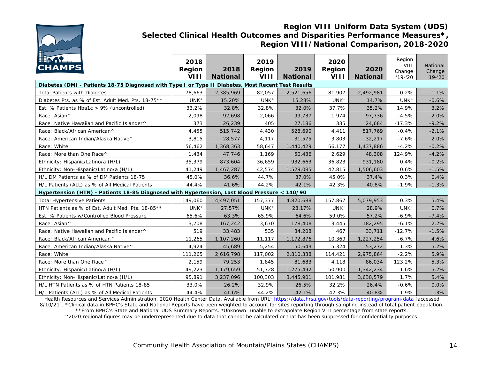

### **Region VIII Uniform Data System (UDS) Selected Clinical Health Outcomes and Disparities Performance Measures\*, Region VIII/National Comparison, 2018-2020**

| <b>HAA1</b><br><b>CHAMPS</b>                                                                       | 2018<br>Region<br>VIII | 2018<br><b>National</b> | 2019<br>Region<br>VIII | 2019<br><b>National</b> | 2020<br>Region<br><b>VIII</b> | 2020<br><b>National</b> | Region<br><b>VIII</b><br>Change<br>$'19 - '20$ | National<br>Change<br>$'19 - '20$ |  |  |  |
|----------------------------------------------------------------------------------------------------|------------------------|-------------------------|------------------------|-------------------------|-------------------------------|-------------------------|------------------------------------------------|-----------------------------------|--|--|--|
| Diabetes (DM) - Patients 18-75 Diagnosed with Type I or Type II Diabetes, Most Recent Test Results |                        |                         |                        |                         |                               |                         |                                                |                                   |  |  |  |
| <b>Total Patients with Diabetes</b>                                                                | 78,663                 | 2,385,969               | 82,057                 | 2,521,656               | 81,907                        | 2,492,981               | $-0.2%$                                        | $-1.1%$                           |  |  |  |
| Diabetes Pts. as % of Est. Adult Med. Pts. 18-75**                                                 | UNK <sup>+</sup>       | 15.20%                  | UNK <sup>+</sup>       | 15.28%                  | UNK <sup>+</sup>              | 14.7%                   | UNK <sup>+</sup>                               | $-0.6%$                           |  |  |  |
| Est. % Patients Hba1c > 9% (uncontrolled)                                                          | 33.2%                  | 32.8%                   | 32.8%                  | 32.0%                   | 37.7%                         | 35.2%                   | 14.9%                                          | 3.2%                              |  |  |  |
| Race: Asian^                                                                                       | 2,098                  | 92,698                  | 2,066                  | 99,737                  | 1,974                         | 97,736                  | $-4.5%$                                        | $-2.0%$                           |  |  |  |
| Race: Native Hawaiian and Pacific Islander^                                                        | 373                    | 26,239                  | 405                    | 27,186                  | 335                           | 24,684                  | $-17.3%$                                       | $-9.2%$                           |  |  |  |
| Race: Black/African American^                                                                      | 4,455                  | 515,742                 | 4,430                  | 528,690                 | 4,411                         | 517,769                 | $-0.4%$                                        | $-2.1%$                           |  |  |  |
| Race: American Indian/Alaska Native^                                                               | 3,815                  | 28,577                  | 4,117                  | 31,575                  | 3,803                         | 32,217                  | $-7.6%$                                        | 2.0%                              |  |  |  |
| Race: White                                                                                        | 56,462                 | 1,368,363               | 58,647                 | 1,440,429               | 56,177                        | 1,437,886               | $-4.2%$                                        | $-0.2%$                           |  |  |  |
| Race: More than One Race^                                                                          | 1,434                  | 47,746                  | 1,169                  | 50,436                  | 2,629                         | 48,308                  | 124.9%                                         | $-4.2%$                           |  |  |  |
| Ethnicity: Hispanic/Latino/a (H/L)                                                                 | 35,379                 | 873,604                 | 36,659                 | 932,663                 | 36,823                        | 931,180                 | 0.4%                                           | $-0.2%$                           |  |  |  |
| Ethnicity: Non-Hispanic/Latino/a (H/L)                                                             | 41,249                 | 1,467,287               | 42,574                 | 1,529,085               | 42,815                        | 1,506,603               | 0.6%                                           | $-1.5%$                           |  |  |  |
| H/L DM Patients as % of DM Patients 18-75                                                          | 45.0%                  | 36.6%                   | 44.7%                  | 37.0%                   | 45.0%                         | 37.4%                   | 0.3%                                           | 0.4%                              |  |  |  |
| H/L Patients (ALL) as % of All Medical Patients                                                    | 44.4%                  | 41.6%                   | 44.2%                  | 42.1%                   | 42.3%                         | 40.8%                   | $-1.9%$                                        | $-1.3%$                           |  |  |  |
| Hypertension (HTN) - Patients 18-85 Diagnosed with Hypertension, Last Blood Pressure < 140/90      |                        |                         |                        |                         |                               |                         |                                                |                                   |  |  |  |
| <b>Total Hypertensive Patients</b>                                                                 | 149,060                | 4,497,051               | 157,377                | 4,820,688               | 157,867                       | 5,079,953               | 0.3%                                           | 5.4%                              |  |  |  |
| HTN Patients as % of Est. Adult Med. Pts. 18-85**                                                  | UNK <sup>+</sup>       | 27.57%                  | UNK <sup>+</sup>       | 28.17%                  | UNK <sup>+</sup>              | 28.9%                   | UNK <sup>+</sup>                               | 0.7%                              |  |  |  |
| Est. % Patients w/Controlled Blood Pressure                                                        | 65.6%                  | 63.3%                   | 65.9%                  | 64.6%                   | 59.0%                         | 57.2%                   | $-6.9%$                                        | $-7.4%$                           |  |  |  |
| Race: Asian^                                                                                       | 3,708                  | 167,242                 | 3,670                  | 178,408                 | 3,445                         | 182,295                 | $-6.1%$                                        | 2.2%                              |  |  |  |
| Race: Native Hawaiian and Pacific Islander^                                                        | 519                    | 33,483                  | 535                    | 34,208                  | 467                           | 33,711                  | $-12.7%$                                       | $-1.5%$                           |  |  |  |
| Race: Black/African American^                                                                      | 11,265                 | 1,107,260               | 11,117                 | 1,172,876               | 10,369                        | 1,227,254               | $-6.7%$                                        | 4.6%                              |  |  |  |
| Race: American Indian/Alaska Native^                                                               | 4,924                  | 45,689                  | 5,254                  | 50,643                  | 5,324                         | 53,272                  | 1.3%                                           | 5.2%                              |  |  |  |
| Race: White                                                                                        | 111,265                | 2,616,798               | 117,002                | 2,810,338               | 114,421                       | 2,975,864               | $-2.2%$                                        | 5.9%                              |  |  |  |
| Race: More than One Race^                                                                          | 2,159                  | 79,253                  | 1,845                  | 81,683                  | 4,118                         | 86,034                  | 123.2%                                         | 5.3%                              |  |  |  |
| Ethnicity: Hispanic/Latino/a (H/L)                                                                 | 49,223                 | 1,179,659               | 51,728                 | 1,275,492               | 50,900                        | 1,342,234               | $-1.6%$                                        | 5.2%                              |  |  |  |
| Ethnicity: Non-Hispanic/Latino/a (H/L)                                                             | 95,891                 | 3,237,096               | 100,303                | 3,445,901               | 101,981                       | 3,630,579               | 1.7%                                           | 5.4%                              |  |  |  |
| H/L HTN Patients as % of HTN Patients 18-85                                                        | 33.0%                  | 26.2%                   | 32.9%                  | 26.5%                   | 32.2%                         | 26.4%                   | $-0.6%$                                        | 0.0%                              |  |  |  |
| H/L Patients (ALL) as % of All Medical Patients                                                    | 44.4%                  | 41.6%                   | 44.2%                  | 42.1%                   | 42.3%                         | 40.8%                   | $-1.9%$                                        | $-1.3%$                           |  |  |  |

Health Resources and Services Administration. 2020 Health Center Data. Available from URL: <https://data.hrsa.gov/tools/data-reporting/program-data> [accessed

8/10/21]. \*Clinical data in BPHC's State and National Reports have been weighted to account for sites reporting through sampling instead of total patient population. \*\*From BPHC's State and National UDS Summary Reports. +Unknown: unable to extrapolate Region VIII percentage from state reports.

^2020 regional figures may be underrepresented due to data that cannot be calculated or that has been suppressed for confidentiality purposes.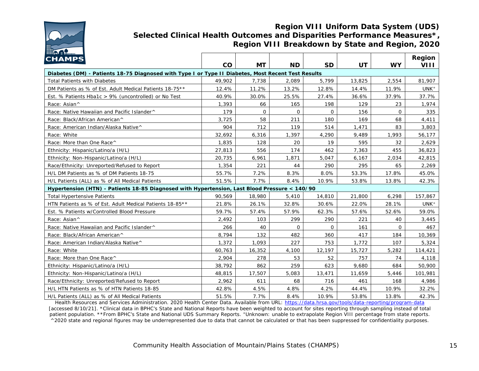

#### **Region VIII Uniform Data System (UDS) Selected Clinical Health Outcomes and Disparities Performance Measures\*, Region VIII Breakdown by State and Region, 2020**

| <b>CHAMPS</b>                                                                                      |        |           |           |           |           |           | Region           |  |  |  |
|----------------------------------------------------------------------------------------------------|--------|-----------|-----------|-----------|-----------|-----------|------------------|--|--|--|
|                                                                                                    | CO     | <b>MT</b> | <b>ND</b> | <b>SD</b> | <b>UT</b> | <b>WY</b> | VIII             |  |  |  |
| Diabetes (DM) - Patients 18-75 Diagnosed with Type I or Type II Diabetes, Most Recent Test Results |        |           |           |           |           |           |                  |  |  |  |
| <b>Total Patients with Diabetes</b>                                                                | 49,902 | 7,738     | 2,089     | 5,799     | 13,825    | 2,554     | 81,907           |  |  |  |
| DM Patients as % of Est. Adult Medical Patients 18-75**                                            | 12.4%  | 11.2%     | 13.2%     | 12.8%     | 14.4%     | 11.9%     | UNK <sup>+</sup> |  |  |  |
| Est. % Patients Hba1c > 9% (uncontrolled) or No Test                                               | 40.9%  | 30.0%     | 25.5%     | 27.4%     | 36.6%     | 37.9%     | 37.7%            |  |  |  |
| Race: Asian^                                                                                       | 1,393  | 66        | 165       | 198       | 129       | 23        | 1,974            |  |  |  |
| Race: Native Hawaiian and Pacific Islander^                                                        | 179    | $\Omega$  | $\Omega$  | $\Omega$  | 156       | $\Omega$  | 335              |  |  |  |
| Race: Black/African American^                                                                      | 3,725  | 58        | 211       | 180       | 169       | 68        | 4,411            |  |  |  |
| Race: American Indian/Alaska Native^                                                               | 904    | 712       | 119       | 514       | 1,471     | 83        | 3,803            |  |  |  |
| Race: White                                                                                        | 32,692 | 6,316     | 1,397     | 4,290     | 9,489     | 1,993     | 56,177           |  |  |  |
| Race: More than One Race^                                                                          | 1,835  | 128       | 20        | 19        | 595       | 32        | 2,629            |  |  |  |
| Ethnicity: Hispanic/Latino/a (H/L)                                                                 | 27,813 | 556       | 174       | 462       | 7,363     | 455       | 36,823           |  |  |  |
| Ethnicity: Non-Hispanic/Latino/a (H/L)                                                             | 20,735 | 6,961     | 1,871     | 5,047     | 6,167     | 2,034     | 42,815           |  |  |  |
| Race/Ethnicity: Unreported/Refused to Report                                                       | 1,354  | 221       | 44        | 290       | 295       | 65        | 2,269            |  |  |  |
| H/L DM Patients as % of DM Patients 18-75                                                          | 55.7%  | 7.2%      | 8.3%      | 8.0%      | 53.3%     | 17.8%     | 45.0%            |  |  |  |
| H/L Patients (ALL) as % of All Medical Patients                                                    | 51.5%  | 7.7%      | 8.4%      | 10.9%     | 53.8%     | 13.8%     | 42.3%            |  |  |  |
| Hypertension (HTN) - Patients 18-85 Diagnosed with Hypertension, Last Blood Pressure < 140/90      |        |           |           |           |           |           |                  |  |  |  |
| <b>Total Hypertensive Patients</b>                                                                 | 90.569 | 18,980    | 5,410     | 14,810    | 21,800    | 6,298     | 157,867          |  |  |  |
| HTN Patients as % of Est. Adult Medical Patients 18-85**                                           | 21.8%  | 26.1%     | 32.8%     | 30.6%     | 22.0%     | 28.1%     | UNK <sup>+</sup> |  |  |  |
| Est. % Patients w/Controlled Blood Pressure                                                        | 59.7%  | 57.4%     | 57.9%     | 62.3%     | 57.6%     | 52.6%     | 59.0%            |  |  |  |
| Race: Asian^                                                                                       | 2,492  | 103       | 299       | 290       | 221       | 40        | 3,445            |  |  |  |
| Race: Native Hawaiian and Pacific Islander^                                                        | 266    | 40        | $\Omega$  | $\Omega$  | 161       | $\Omega$  | 467              |  |  |  |
| Race: Black/African American^                                                                      | 8,794  | 132       | 482       | 360       | 417       | 184       | 10,369           |  |  |  |
| Race: American Indian/Alaska Native^                                                               | 1,372  | 1.093     | 227       | 753       | 1,772     | 107       | 5,324            |  |  |  |
| Race: White                                                                                        | 60,763 | 16,352    | 4,100     | 12,197    | 15,727    | 5,282     | 114,421          |  |  |  |
| Race: More than One Race^                                                                          | 2,904  | 278       | 53        | 52        | 757       | 74        | 4,118            |  |  |  |
| Ethnicity: Hispanic/Latino/a (H/L)                                                                 | 38,792 | 862       | 259       | 623       | 9,680     | 684       | 50,900           |  |  |  |
| Ethnicity: Non-Hispanic/Latino/a (H/L)                                                             | 48,815 | 17,507    | 5,083     | 13,471    | 11,659    | 5,446     | 101,981          |  |  |  |
| Race/Ethnicity: Unreported/Refused to Report                                                       | 2,962  | 611       | 68        | 716       | 461       | 168       | 4,986            |  |  |  |
| H/L HTN Patients as % of HTN Patients 18-85                                                        | 42.8%  | 4.5%      | 4.8%      | 4.2%      | 44.4%     | 10.9%     | 32.2%            |  |  |  |
| H/L Patients (ALL) as % of All Medical Patients                                                    | 51.5%  | 7.7%      | 8.4%      | 10.9%     | 53.8%     | 13.8%     | 42.3%            |  |  |  |

Health Resources and Services Administration. 2020 Health Center Data. Available from URL: <https://data.hrsa.gov/tools/data-reporting/program-data> [accessed 8/10/21]. \*Clinical data in BPHC's State and National Reports have been weighted to account for sites reporting through sampling instead of total patient population. \*\*From BPHC's State and National UDS Summary Reports. +Unknown: unable to extrapolate Region VIII percentage from state reports. ^2020 state and regional figures may be underrepresented due to data that cannot be calculated or that has been suppressed for confidentiality purposes.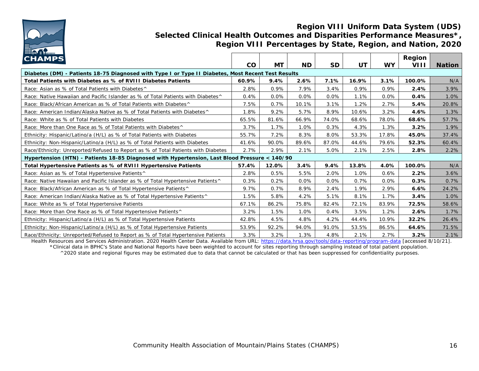

#### **Region VIII Uniform Data System (UDS) Selected Clinical Health Outcomes and Disparities Performance Measures\*, Region VIII Percentages by State, Region, and Nation, 2020**

| <b>CHAMPS</b>                                                                                      | CO      | МT    | <b>ND</b> | <b>SD</b> | UT      | <b>WY</b> | Region<br>VIII | <b>Nation</b> |  |
|----------------------------------------------------------------------------------------------------|---------|-------|-----------|-----------|---------|-----------|----------------|---------------|--|
| Diabetes (DM) - Patients 18-75 Diagnosed with Type I or Type II Diabetes, Most Recent Test Results |         |       |           |           |         |           |                |               |  |
| Total Patients with Diabetes as % of RVIII Diabetes Patients                                       | 60.9%   | 9.4%  | 2.6%      | 7.1%      | 16.9%   | 3.1%      | 100.0%         | N/A           |  |
| Race: Asian as % of Total Patients with Diabetes^                                                  | 2.8%    | 0.9%  | 7.9%      | 3.4%      | 0.9%    | 0.9%      | 2.4%           | 3.9%          |  |
| Race: Native Hawaiian and Pacific Islander as % of Total Patients with Diabetes ^                  | 0.4%    | 0.0%  | 0.0%      | 0.0%      | 1.1%    | 0.0%      | 0.4%           | 1.0%          |  |
| Race: Black/African American as % of Total Patients with Diabetes <sup>^</sup>                     | 7.5%    | 0.7%  | 10.1%     | 3.1%      | $1.2\%$ | 2.7%      | 5.4%           | 20.8%         |  |
| Race: American Indian/Alaska Native as % of Total Patients with Diabetes <sup>^</sup>              | 1.8%    | 9.2%  | 5.7%      | 8.9%      | 10.6%   | 3.2%      | 4.6%           | 1.3%          |  |
| Race: White as % of Total Patients with Diabetes                                                   | 65.5%   | 81.6% | 66.9%     | 74.0%     | 68.6%   | 78.0%     | 68.6%          | 57.7%         |  |
| Race: More than One Race as % of Total Patients with Diabetes^                                     | 3.7%    | 1.7%  | 1.0%      | 0.3%      | 4.3%    | 1.3%      | 3.2%           | 1.9%          |  |
| Ethnicity: Hispanic/Latino/a (H/L) as % of Total Patients with Diabetes                            | 55.7%   | 7.2%  | 8.3%      | 8.0%      | 53.3%   | 17.8%     | 45.0%          | 37.4%         |  |
| Ethnicity: Non-Hispanic/Latino/a (H/L) as % of Total Patients with Diabetes                        | 41.6%   | 90.0% | 89.6%     | 87.0%     | 44.6%   | 79.6%     | 52.3%          | 60.4%         |  |
| Race/Ethnicity: Unreported/Refused to Report as % of Total Patients with Diabetes                  | $2.7\%$ | 2.9%  | 2.1%      | 5.0%      | 2.1%    | 2.5%      | 2.8%           | 2.2%          |  |
| Hypertension (HTN) - Patients 18-85 Diagnosed with Hypertension, Last Blood Pressure < 140/90      |         |       |           |           |         |           |                |               |  |
| Total Hypertensive Patients as % of RVIII Hypertensive Patients                                    | 57.4%   | 12.0% | 3.4%      | 9.4%      | 13.8%   | 4.0%      | 100.0%         | N/A           |  |
| Race: Asian as % of Total Hypertensive Patients <sup>^</sup>                                       | 2.8%    | 0.5%  | 5.5%      | 2.0%      | 1.0%    | 0.6%      | 2.2%           | 3.6%          |  |
| Race: Native Hawaiian and Pacific Islander as % of Total Hypertensive Patients^                    | 0.3%    | 0.2%  | 0.0%      | 0.0%      | 0.7%    | 0.0%      | 0.3%           | 0.7%          |  |
| Race: Black/African American as % of Total Hypertensive Patients^                                  | 9.7%    | 0.7%  | 8.9%      | 2.4%      | 1.9%    | 2.9%      | 6.6%           | 24.2%         |  |
| Race: American Indian/Alaska Native as % of Total Hypertensive Patients^                           | 1.5%    | 5.8%  | 4.2%      | 5.1%      | 8.1%    | 1.7%      | 3.4%           | 1.0%          |  |
| Race: White as % of Total Hypertensive Patients                                                    | 67.1%   | 86.2% | 75.8%     | 82.4%     | 72.1%   | 83.9%     | 72.5%          | 58.6%         |  |
| Race: More than One Race as % of Total Hypertensive Patients^                                      | 3.2%    | 1.5%  | 1.0%      | 0.4%      | 3.5%    | 1.2%      | 2.6%           | 1.7%          |  |
| Ethnicity: Hispanic/Latino/a (H/L) as % of Total Hypertensive Patients                             | 42.8%   | 4.5%  | 4.8%      | 4.2%      | 44.4%   | 10.9%     | 32.2%          | 26.4%         |  |
| Ethnicity: Non-Hispanic/Latino/a (H/L) as % of Total Hypertensive Patients                         | 53.9%   | 92.2% | 94.0%     | 91.0%     | 53.5%   | 86.5%     | 64.6%          | 71.5%         |  |
| Race/Ethnicity: Unreported/Refused to Report as % of Total Hypertensive Patients                   | 3.3%    | 3.2%  | 1.3%      | 4.8%      | 2.1%    | 2.7%      | 3.2%           | 2.1%          |  |

Health Resources and Services Administration. 2020 Health Center Data. Available from URL: <https://data.hrsa.gov/tools/data-reporting/program-data> [accessed 8/10/21]. \*Clinical data in BPHC's State and National Reports have been weighted to account for sites reporting through sampling instead of total patient population. ^2020 state and regional figures may be estimated due to data that cannot be calculated or that has been suppressed for confidentiality purposes.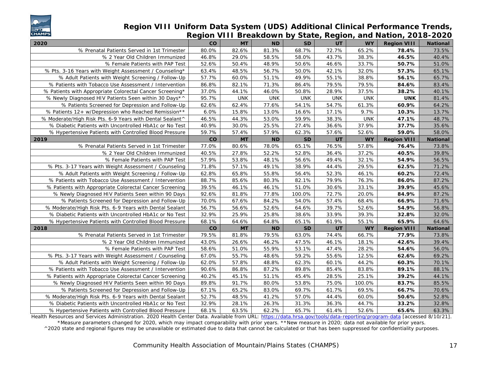

#### **Region VIII Uniform Data System (UDS) Additional Clinical Performance Trends, Region VIII Breakdown by State, Region, and Nation, 2018-2020**

| 2020                                                     | <b>CO</b> | <b>MT</b>  | <b>ND</b>  | <b>SD</b>  | UT         | <b>WY</b>  | <b>Region VIII</b> | <b>National</b> |
|----------------------------------------------------------|-----------|------------|------------|------------|------------|------------|--------------------|-----------------|
| % Prenatal Patients Served in 1st Trimester              | 80.0%     | 82.6%      | 81.3%      | 68.7%      | 72.7%      | 65.2%      | 78.4%              | 73.5%           |
| % 2 Year Old Children Immunized                          | 46.8%     | 29.0%      | 58.5%      | 58.0%      | 43.7%      | 38.3%      | 46.5%              | 40.4%           |
| % Female Patients with PAP Test                          | 52.6%     | 50.4%      | 48.9%      | 50.6%      | 46.6%      | 33.7%      | 50.7%              | 51.0%           |
| % Pts. 3-16 Years with Weight Assessment / Counseling*   | 63.4%     | 48.5%      | 56.7%      | 50.0%      | 42.1%      | 32.0%      | 57.3%              | 65.1%           |
| % Adult Patients with Weight Screening / Follow-Up       | 57.7%     | 60.0%      | 51.1%      | 49.9%      | 55.1%      | 38.8%      | 56.1%              | 65.7%           |
| % Patients with Tobacco Use Assessment / Intervention    | 86.8%     | 82.1%      | 71.3%      | 86.4%      | 79.5%      | 79.5%      | 84.6%              | 83.4%           |
| % Patients with Appropriate Colorectal Cancer Screening* | 37.0%     | 44.1%      | 46.0%      | 50.8%      | 28.9%      | 37.5%      | 38.2%              | 40.1%           |
| % Newly Diagnosed HIV Patients Seen within 30 Days*^     | 95.7%     | <b>UNK</b> | <b>UNK</b> | <b>UNK</b> | <b>UNK</b> | <b>UNK</b> | <b>UNK</b>         | 81.4%           |
| % Patients Screened for Depression and Follow-Up         | 62.6%     | 62.4%      | 77.6%      | 54.1%      | 54.7%      | 61.3%      | 60.9%              | 64.2%           |
| % Patients 12+ w/Depression who Reached Remission**      | 6.0%      | 15.8%      | 13.0%      | 16.6%      | 17.1%      | 9.7%       | 10.3%              | 13.7%           |
| % Moderate/High Risk Pts. 6-9 Years with Dental Sealant^ | 46.5%     | 44.3%      | 53.0%      | 59.9%      | 38.3%      | <b>UNK</b> | 47.1%              | 48.7%           |
| % Diabetic Patients with Uncontrolled HbA1c or No Test   | 40.9%     | 30.0%      | 25.5%      | 27.4%      | 36.6%      | 37.9%      | 37.7%              | 35.6%           |
| % Hypertensive Patients with Controlled Blood Pressure   | 59.7%     | 57.4%      | 57.9%      | 62.3%      | 57.6%      | 52.6%      | 59.0%              | 58.0%           |
| 2019                                                     | co        | MT         | <b>ND</b>  | <b>SD</b>  | UT         | <b>WY</b>  | <b>Region VIII</b> | <b>National</b> |
| % Prenatal Patients Served in 1st Trimester              | 77.0%     | 80.6%      | 78.0%      | 65.1%      | 76.5%      | 57.8%      | 76.4%              | 73.8%           |
| % 2 Year Old Children Immunized                          | 40.5%     | 27.8%      | 52.2%      | 52.8%      | 36.4%      | 37.2%      | 40.5%              | 39.8%           |
| % Female Patients with PAP Test                          | 57.9%     | 53.8%      | 48.1%      | 56.6%      | 49.4%      | 32.1%      | 54.9%              | 56.5%           |
| % Pts. 3-17 Years with Weight Assessment / Counseling    | 71.8%     | 57.1%      | 49.1%      | 38.9%      | 44.4%      | 29.5%      | 62.5%              | 71.2%           |
| % Adult Patients with Weight Screening / Follow-Up       | 62.8%     | 65.8%      | 55.8%      | 56.4%      | 52.3%      | 46.1%      | 60.2%              | 72.4%           |
| % Patients with Tobacco Use Assessment / Intervention    | 88.7%     | 85.6%      | 80.3%      | 82.1%      | 79.9%      | 76.3%      | 86.0%              | 87.2%           |
| % Patients with Appropriate Colorectal Cancer Screening  | 39.5%     | 46.1%      | 46.1%      | 51.0%      | 30.6%      | 33.1%      | 39.9%              | 45.6%           |
| % Newly Diagnosed HIV Patients Seen within 90 Days       | 92.6%     | 81.8%      | 77.8%      | 100.0%     | 72.7%      | 20.0%      | 84.9%              | 87.2%           |
| % Patients Screened for Depression and Follow-Up         | 70.0%     | 67.6%      | 84.2%      | 54.0%      | 57.4%      | 68.4%      | 66.9%              | 71.6%           |
| % Moderate/High Risk Pts. 6-9 Years with Dental Sealant  | 56.7%     | 56.6%      | 52.6%      | 64.6%      | 39.7%      | 52.6%      | 54.9%              | 56.8%           |
| % Diabetic Patients with Uncontrolled HbA1c or No Test   | 32.9%     | 25.9%      | 25.8%      | 38.6%      | 33.9%      | 39.3%      | 32.8%              | 32.0%           |
| % Hypertensive Patients with Controlled Blood Pressure   | 68.1%     | 64.6%      | 64.8%      | 65.1%      | 61.9%      | 55.1%      | 65.9%              | 64.6%           |
| 2018                                                     | co        | MT         | <b>ND</b>  | <b>SD</b>  | UT         | <b>WY</b>  | <b>Region VIII</b> | National        |
| % Prenatal Patients Served in 1st Trimester              | 79.5%     | 81.8%      | 79.5%      | 63.0%      | 74.4%      | 66.7%      | 77.9%              | 73.8%           |
| % 2 Year Old Children Immunized                          | 43.0%     | 26.6%      | 46.2%      | 47.5%      | 46.1%      | 18.1%      | 42.6%              | 39.4%           |
| % Female Patients with PAP Test                          | 58.6%     | 51.0%      | 55.9%      | 53.1%      | 47.4%      | 28.2%      | 54.6%              | 56.0%           |
| % Pts. 3-17 Years with Weight Assessment / Counseling    | 67.0%     | 55.7%      | 48.6%      | 59.2%      | 55.6%      | 12.5%      | 62.6%              | 69.2%           |
| % Adult Patients with Weight Screening / Follow-Up       | 62.0%     | 57.8%      | 48.8%      | 62.3%      | 60.1%      | 44.2%      | 60.3%              | 70.1%           |
| % Patients with Tobacco Use Assessment / Intervention    | 90.6%     | 86.8%      | 87.2%      | 89.8%      | 85.4%      | 83.8%      | 89.1%              | 88.1%           |
| % Patients with Appropriate Colorectal Cancer Screening  | 40.2%     | 45.1%      | 51.1%      | 45.4%      | 28.5%      | 25.1%      | 39.2%              | 44.1%           |
| % Newly Diagnosed HIV Patients Seen within 90 Days       | 89.8%     | 91.7%      | 80.0%      | 53.8%      | 75.0%      | 100.0%     | 83.7%              | 85.5%           |
| % Patients Screened for Depression and Follow-Up         | 67.1%     | 65.2%      | 83.0%      | 69.7%      | 61.7%      | 69.5%      | 66.7%              | 70.6%           |
| % Moderate/High Risk Pts. 6-9 Years with Dental Sealant  | 52.7%     | 48.5%      | 41.2%      | 57.0%      | 44.4%      | 60.0%      | 50.6%              | 52.8%           |
| % Diabetic Patients with Uncontrolled HbA1c or No Test   | 32.9%     | 28.1%      | 26.3%      | 31.3%      | 36.3%      | 44.7%      | 33.2%              | 32.8%           |
| % Hypertensive Patients with Controlled Blood Pressure   | 68.1%     | 63.5%      | 62.2%      | 65.7%      | 61.4%      | 52.6%      | 65.6%              | 63.3%           |

Health Resources and Services Administration. 2020 Health Center Data. Available from URL: <https://data.hrsa.gov/tools/data-reporting/program-data> [accessed 8/10/21]. \*Measure parameters changed for 2020, which may impact comparability with prior years. \*\*New measure in 2020; data not available for prior years. ^2020 state and regional figures may be unavailable or estimated due to data that cannot be calculated or that has been suppressed for confidentiality purposes.